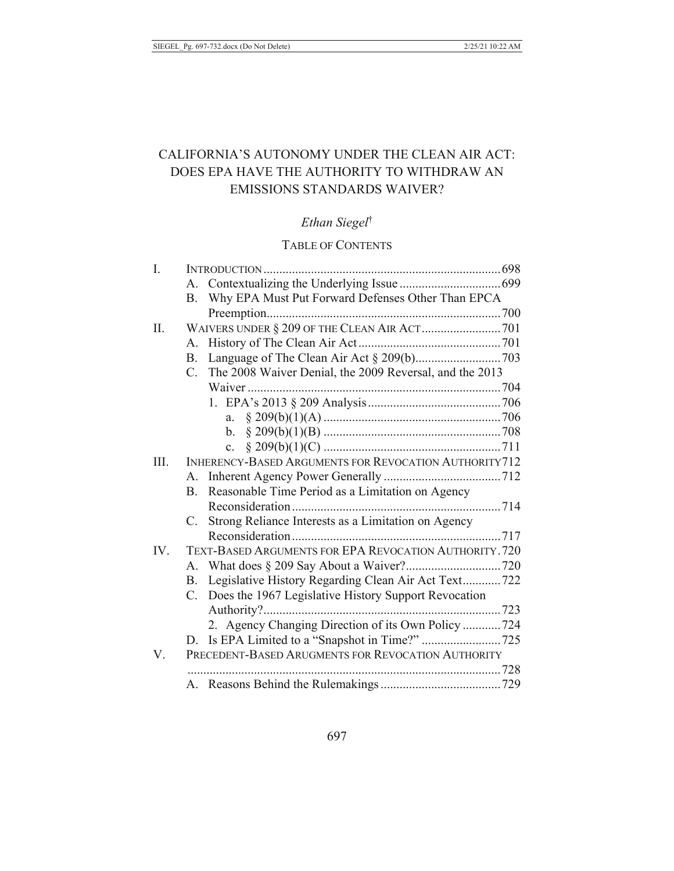# CALIFORNIA'S AUTONOMY UNDER THE CLEAN AIR ACT: DOES EPA HAVE THE AUTHORITY TO WITHDRAW AN **EMISSIONS STANDARDS WAIVER?**

# Ethan Siegel<sup>†</sup>

## TABLE OF CONTENTS

| I.   |                                                                        |  |
|------|------------------------------------------------------------------------|--|
|      |                                                                        |  |
|      | Why EPA Must Put Forward Defenses Other Than EPCA<br><b>B.</b>         |  |
|      |                                                                        |  |
| II.  |                                                                        |  |
|      | А.                                                                     |  |
|      |                                                                        |  |
|      | The 2008 Waiver Denial, the 2009 Reversal, and the 2013<br>$C_{\cdot}$ |  |
|      |                                                                        |  |
|      |                                                                        |  |
|      | a.                                                                     |  |
|      |                                                                        |  |
|      | $\mathbf{c}$ .                                                         |  |
| III. | <b>INHERENCY-BASED ARGUMENTS FOR REVOCATION AUTHORITY712</b>           |  |
|      | A.                                                                     |  |
|      | B. Reasonable Time Period as a Limitation on Agency                    |  |
|      |                                                                        |  |
|      | Strong Reliance Interests as a Limitation on Agency<br>C.              |  |
|      |                                                                        |  |
| IV.  | <b>TEXT-BASED ARGUMENTS FOR EPA REVOCATION AUTHORITY. 720</b>          |  |
|      |                                                                        |  |
|      | B. Legislative History Regarding Clean Air Act Text722                 |  |
|      | C. Does the 1967 Legislative History Support Revocation                |  |
|      | Authority?                                                             |  |
|      | 2. Agency Changing Direction of its Own Policy 724                     |  |
|      |                                                                        |  |
| V.   | PRECEDENT-BASED ARUGMENTS FOR REVOCATION AUTHORITY                     |  |
|      |                                                                        |  |
|      |                                                                        |  |
|      |                                                                        |  |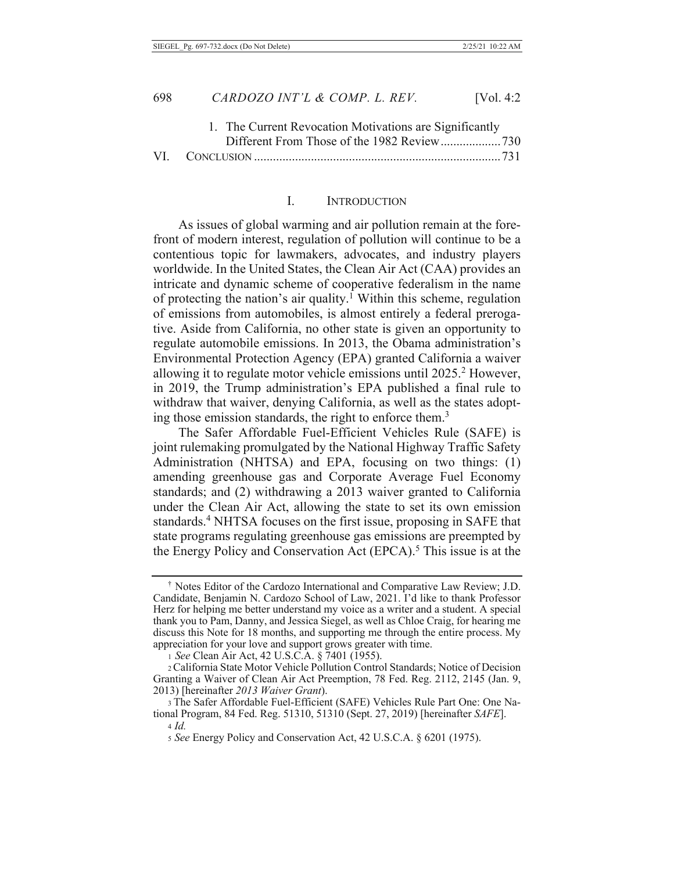| 1. The Current Revocation Motivations are Significantly |  |
|---------------------------------------------------------|--|
|                                                         |  |
|                                                         |  |

#### L. **INTRODUCTION**

As issues of global warming and air pollution remain at the forefront of modern interest, regulation of pollution will continue to be a contentious topic for lawmakers, advocates, and industry players worldwide. In the United States, the Clean Air Act (CAA) provides an intricate and dynamic scheme of cooperative federalism in the name of protecting the nation's air quality.<sup>1</sup> Within this scheme, regulation of emissions from automobiles, is almost entirely a federal prerogative. Aside from California, no other state is given an opportunity to regulate automobile emissions. In 2013, the Obama administration's Environmental Protection Agency (EPA) granted California a waiver allowing it to regulate motor vehicle emissions until 2025.<sup>2</sup> However, in 2019, the Trump administration's EPA published a final rule to withdraw that waiver, denying California, as well as the states adopting those emission standards, the right to enforce them.<sup>3</sup>

The Safer Affordable Fuel-Efficient Vehicles Rule (SAFE) is joint rulemaking promulgated by the National Highway Traffic Safety Administration (NHTSA) and EPA, focusing on two things: (1) amending greenhouse gas and Corporate Average Fuel Economy standards; and (2) withdrawing a 2013 waiver granted to California under the Clean Air Act, allowing the state to set its own emission standards.<sup>4</sup> NHTSA focuses on the first issue, proposing in SAFE that state programs regulating greenhouse gas emissions are preempted by the Energy Policy and Conservation Act (EPCA).<sup>5</sup> This issue is at the

<sup>&</sup>lt;sup>†</sup> Notes Editor of the Cardozo International and Comparative Law Review; J.D. Candidate, Benjamin N. Cardozo School of Law, 2021. I'd like to thank Professor Herz for helping me better understand my voice as a writer and a student. A special thank you to Pam, Danny, and Jessica Siegel, as well as Chloe Craig, for hearing me discuss this Note for 18 months, and supporting me through the entire process. My appreciation for your love and support grows greater with time.<br>1 See Clean Air Act, 42 U.S.C.A. § 7401 (1955).

<sup>2</sup> California State Motor Vehicle Pollution Control Standards; Notice of Decision Granting a Waiver of Clean Air Act Preemption, 78 Fed. Reg. 2112, 2145 (Jan. 9, 2013) [hereinafter 2013 Waiver Grant).

<sup>3</sup> The Safer Affordable Fuel-Efficient (SAFE) Vehicles Rule Part One: One National Program, 84 Fed. Reg. 51310, 51310 (Sept. 27, 2019) [hereinafter SAFE].

 $4$  Id

<sup>5</sup> See Energy Policy and Conservation Act, 42 U.S.C.A. § 6201 (1975).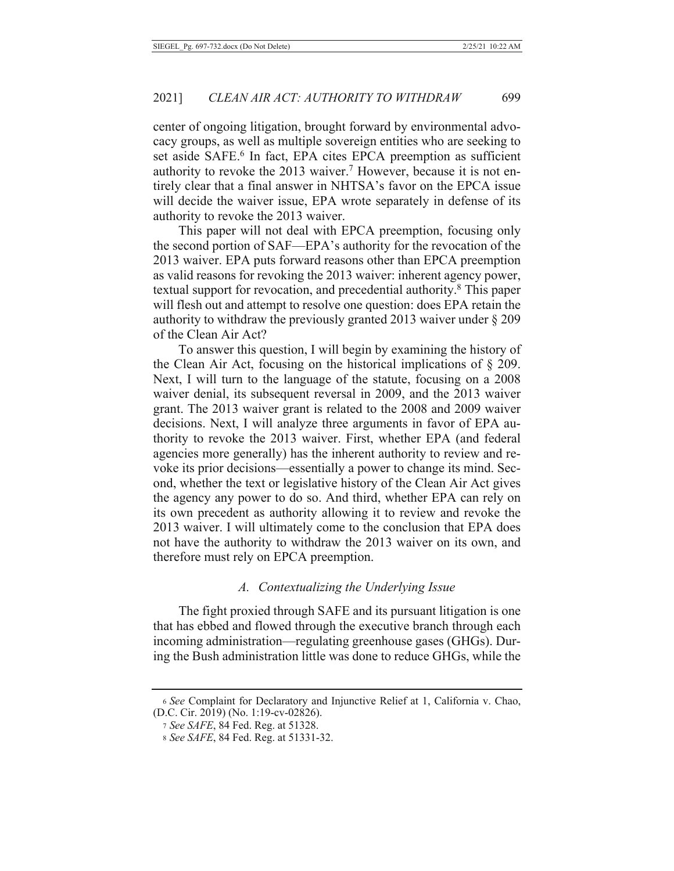center of ongoing litigation, brought forward by environmental advocacy groups, as well as multiple sovereign entities who are seeking to set aside SAFE.<sup>6</sup> In fact, EPA cites EPCA preemption as sufficient authority to revoke the 2013 waiver.<sup>7</sup> However, because it is not entirely clear that a final answer in NHTSA's favor on the EPCA issue will decide the waiver issue, EPA wrote separately in defense of its authority to revoke the 2013 waiver.

This paper will not deal with EPCA preemption, focusing only the second portion of SAF—EPA's authority for the revocation of the 2013 waiver. EPA puts forward reasons other than EPCA preemption as valid reasons for revoking the 2013 waiver: inherent agency power, textual support for revocation, and precedential authority.<sup>8</sup> This paper will flesh out and attempt to resolve one question: does EPA retain the authority to withdraw the previously granted 2013 waiver under  $\S 209$ of the Clean Air Act?

To answer this question, I will begin by examining the history of the Clean Air Act, focusing on the historical implications of  $\S$  209. Next, I will turn to the language of the statute, focusing on a 2008 waiver denial, its subsequent reversal in 2009, and the 2013 waiver grant. The 2013 waiver grant is related to the 2008 and 2009 waiver decisions. Next, I will analyze three arguments in favor of EPA authority to revoke the 2013 waiver. First, whether EPA (and federal agencies more generally) has the inherent authority to review and revoke its prior decisions—essentially a power to change its mind. Second, whether the text or legislative history of the Clean Air Act gives the agency any power to do so. And third, whether EPA can rely on its own precedent as authority allowing it to review and revoke the 2013 waiver. I will ultimately come to the conclusion that EPA does not have the authority to withdraw the 2013 waiver on its own, and therefore must rely on EPCA preemption.

#### A. Contextualizing the Underlying Issue

The fight proxied through SAFE and its pursuant litigation is one that has ebbed and flowed through the executive branch through each incoming administration—regulating greenhouse gases (GHGs). During the Bush administration little was done to reduce GHGs, while the

<sup>6</sup> See Complaint for Declaratory and Injunctive Relief at 1, California v. Chao, (D.C. Cir. 2019) (No. 1:19-cv-02826).

<sup>7</sup> See SAFE, 84 Fed. Reg. at 51328.

<sup>8</sup> See SAFE, 84 Fed. Reg. at 51331-32.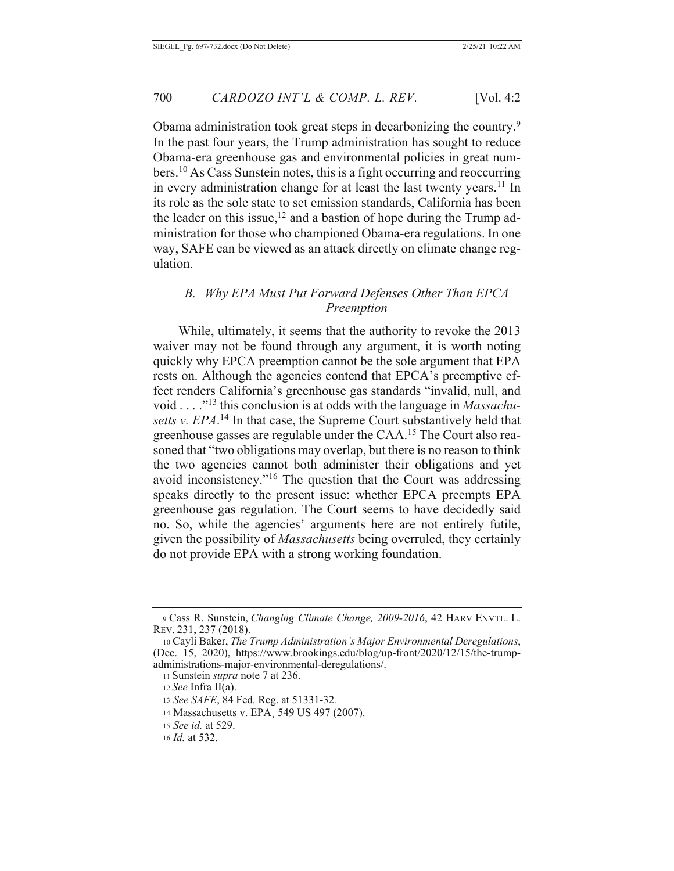Obama administration took great steps in decarbonizing the country.<sup>9</sup> In the past four years, the Trump administration has sought to reduce Obama-era greenhouse gas and environmental policies in great numbers.<sup>10</sup> As Cass Sunstein notes, this is a fight occurring and reoccurring in every administration change for at least the last twenty years.<sup>11</sup> In its role as the sole state to set emission standards, California has been the leader on this issue,  $12$  and a bastion of hope during the Trump administration for those who championed Obama-era regulations. In one way, SAFE can be viewed as an attack directly on climate change regulation.

## B. Why EPA Must Put Forward Defenses Other Than EPCA Preemption

While, ultimately, it seems that the authority to revoke the 2013 waiver may not be found through any argument, it is worth noting quickly why EPCA preemption cannot be the sole argument that EPA rests on. Although the agencies contend that EPCA's preemptive effect renders California's greenhouse gas standards "invalid, null, and void . . . . "<sup>13</sup> this conclusion is at odds with the language in *Massachu*setts v. EPA.<sup>14</sup> In that case, the Supreme Court substantively held that greenhouse gasses are regulable under the CAA.<sup>15</sup> The Court also reasoned that "two obligations may overlap, but there is no reason to think the two agencies cannot both administer their obligations and yet avoid inconsistency."<sup>16</sup> The question that the Court was addressing speaks directly to the present issue: whether EPCA preempts EPA greenhouse gas regulation. The Court seems to have decidedly said no. So, while the agencies' arguments here are not entirely futile, given the possibility of *Massachusetts* being overruled, they certainly do not provide EPA with a strong working foundation.

<sup>9</sup> Cass R. Sunstein, Changing Climate Change, 2009-2016, 42 HARV ENVTL. L. REV. 231, 237 (2018).

<sup>10</sup> Cayli Baker, The Trump Administration's Major Environmental Deregulations, (Dec. 15, 2020), https://www.brookings.edu/blog/up-front/2020/12/15/the-trumpadministrations-major-environmental-deregulations/.

<sup>11</sup> Sunstein *supra* note 7 at 236.

 $12$  See Infra II(a).

<sup>13</sup> See SAFE, 84 Fed. Reg. at 51331-32.

<sup>14</sup> Massachusetts v. EPA, 549 US 497 (2007).

<sup>15</sup> See id. at 529.

<sup>16</sup> *Id.* at 532.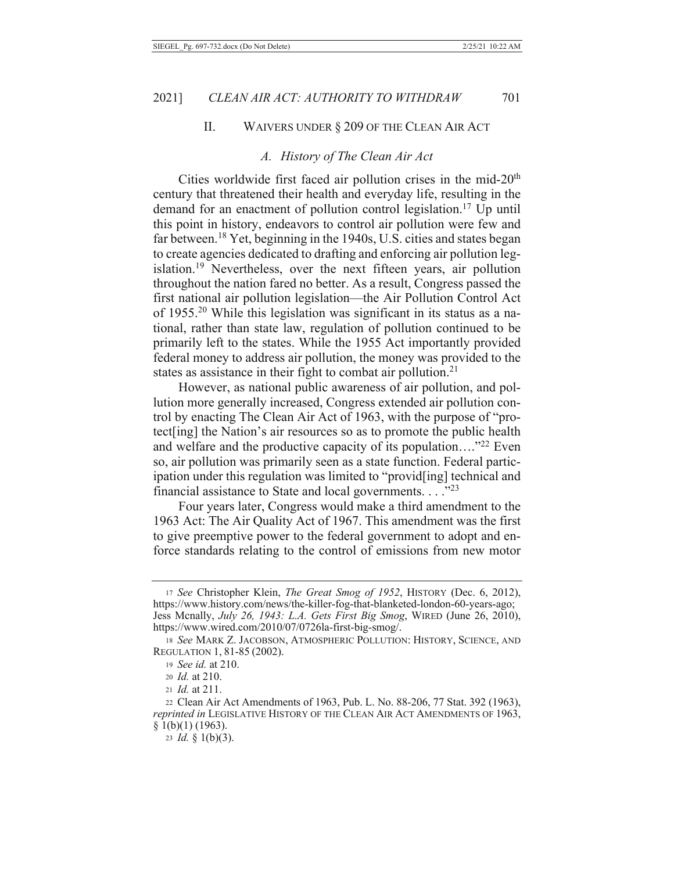#### $\Pi$ . WAIVERS UNDER § 209 OF THE CLEAN AIR ACT

#### A. History of The Clean Air Act

Cities worldwide first faced air pollution crises in the mid-20<sup>th</sup> century that threatened their health and everyday life, resulting in the demand for an enactment of pollution control legislation.<sup>17</sup> Up until this point in history, endeavors to control air pollution were few and far between.<sup>18</sup> Yet, beginning in the 1940s, U.S. cities and states began to create agencies dedicated to drafting and enforcing air pollution legislation.<sup>19</sup> Nevertheless, over the next fifteen years, air pollution throughout the nation fared no better. As a result, Congress passed the first national air pollution legislation—the Air Pollution Control Act of 1955.<sup>20</sup> While this legislation was significant in its status as a national, rather than state law, regulation of pollution continued to be primarily left to the states. While the 1955 Act importantly provided federal money to address air pollution, the money was provided to the states as assistance in their fight to combat air pollution.<sup>21</sup>

However, as national public awareness of air pollution, and pollution more generally increased, Congress extended air pollution control by enacting The Clean Air Act of 1963, with the purpose of "protect[ing] the Nation's air resources so as to promote the public health and welfare and the productive capacity of its population...."<sup>22</sup> Even so, air pollution was primarily seen as a state function. Federal participation under this regulation was limited to "provid[ing] technical and financial assistance to State and local governments.  $\dots$ ."23

Four years later, Congress would make a third amendment to the 1963 Act: The Air Quality Act of 1967. This amendment was the first to give preemptive power to the federal government to adopt and enforce standards relating to the control of emissions from new motor

<sup>17</sup> See Christopher Klein, The Great Smog of 1952, HISTORY (Dec. 6, 2012), https://www.history.com/news/the-killer-fog-that-blanketed-london-60-years-ago; Jess Mcnally, July 26, 1943: L.A. Gets First Big Smog, WIRED (June 26, 2010), https://www.wired.com/2010/07/0726la-first-big-smog/.

<sup>18</sup> See MARK Z. JACOBSON, ATMOSPHERIC POLLUTION: HISTORY, SCIENCE, AND REGULATION 1, 81-85 (2002).

<sup>19</sup> See id. at 210.

<sup>20</sup> *Id.* at 210.

<sup>21</sup>  $Id.$  at 211.

<sup>22</sup> Clean Air Act Amendments of 1963, Pub. L. No. 88-206, 77 Stat. 392 (1963), reprinted in LEGISLATIVE HISTORY OF THE CLEAN AIR ACT AMENDMENTS OF 1963,  $\S$  1(b)(1) (1963).

<sup>23</sup> *Id.* § 1(b)(3).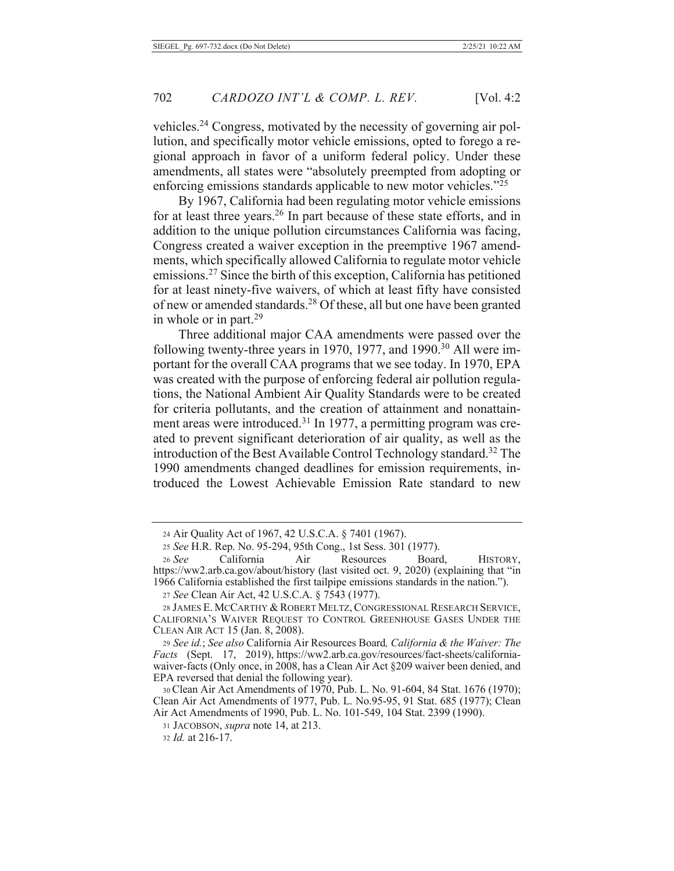vehicles.<sup>24</sup> Congress, motivated by the necessity of governing air pollution, and specifically motor vehicle emissions, opted to forego a regional approach in favor of a uniform federal policy. Under these amendments, all states were "absolutely preempted from adopting or enforcing emissions standards applicable to new motor vehicles."<sup>25</sup>

By 1967, California had been regulating motor vehicle emissions for at least three years.<sup>26</sup> In part because of these state efforts, and in addition to the unique pollution circumstances California was facing, Congress created a waiver exception in the preemptive 1967 amendments, which specifically allowed California to regulate motor vehicle emissions.<sup>27</sup> Since the birth of this exception, California has petitioned for at least ninety-five waivers, of which at least fifty have consisted of new or amended standards.<sup>28</sup> Of these, all but one have been granted in whole or in part.<sup>29</sup>

Three additional major CAA amendments were passed over the following twenty-three years in 1970, 1977, and 1990.<sup>30</sup> All were important for the overall CAA programs that we see today. In 1970, EPA was created with the purpose of enforcing federal air pollution regulations, the National Ambient Air Quality Standards were to be created for criteria pollutants, and the creation of attainment and nonattainment areas were introduced.<sup>31</sup> In 1977, a permitting program was created to prevent significant deterioration of air quality, as well as the introduction of the Best Available Control Technology standard.<sup>32</sup> The 1990 amendments changed deadlines for emission requirements, introduced the Lowest Achievable Emission Rate standard to new

<sup>24</sup> Air Quality Act of 1967, 42 U.S.C.A. § 7401 (1967).

<sup>25</sup> See H.R. Rep. No. 95-294, 95th Cong., 1st Sess. 301 (1977).

<sup>26</sup> See California Air Resources Board, HISTORY, https://ww2.arb.ca.gov/about/history (last visited oct. 9, 2020) (explaining that "in 1966 California established the first tailpipe emissions standards in the nation.").

<sup>27</sup> See Clean Air Act, 42 U.S.C.A. § 7543 (1977).

<sup>28</sup> JAMES E. MCCARTHY & ROBERT MELTZ, CONGRESSIONAL RESEARCH SERVICE, CALIFORNIA'S WAIVER REQUEST TO CONTROL GREENHOUSE GASES UNDER THE CLEAN AIR ACT 15 (Jan. 8, 2008).

<sup>29</sup> See id.; See also California Air Resources Board, California & the Waiver: The Facts (Sept. 17, 2019), https://ww2.arb.ca.gov/resources/fact-sheets/californiawaiver-facts (Only once, in 2008, has a Clean Air Act §209 waiver been denied, and EPA reversed that denial the following year).

<sup>30</sup> Clean Air Act Amendments of 1970, Pub. L. No. 91-604, 84 Stat. 1676 (1970); Clean Air Act Amendments of 1977, Pub. L. No.95-95, 91 Stat. 685 (1977); Clean Air Act Amendments of 1990, Pub. L. No. 101-549, 104 Stat. 2399 (1990).

<sup>31</sup> JACOBSON, *supra* note 14, at 213.

<sup>32</sup> Id. at 216-17.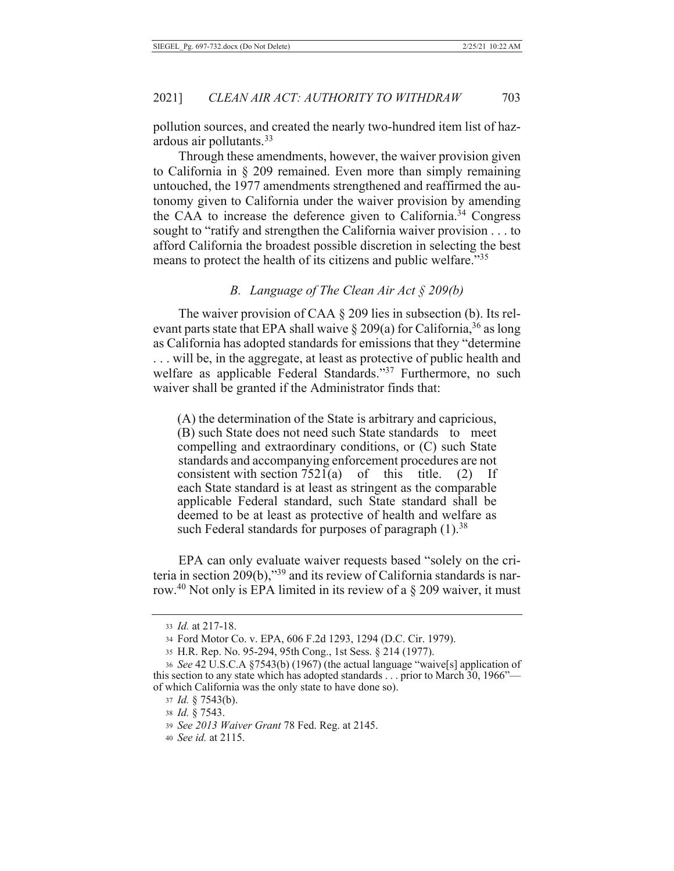pollution sources, and created the nearly two-hundred item list of hazardous air pollutants.<sup>33</sup>

Through these amendments, however, the waiver provision given to California in  $\S$  209 remained. Even more than simply remaining untouched, the 1977 amendments strengthened and reaffirmed the autonomy given to California under the waiver provision by amending the CAA to increase the deference given to California.<sup>34</sup> Congress sought to "ratify and strengthen the California waiver provision . . . to afford California the broadest possible discretion in selecting the best means to protect the health of its citizens and public welfare."35

### B. Language of The Clean Air Act  $\S 209(b)$

The waiver provision of CAA  $\S$  209 lies in subsection (b). Its relevant parts state that EPA shall waive  $\S 209(a)$  for California,<sup>36</sup> as long as California has adopted standards for emissions that they "determine ... will be, in the aggregate, at least as protective of public health and welfare as applicable Federal Standards."37 Furthermore, no such waiver shall be granted if the Administrator finds that:

(A) the determination of the State is arbitrary and capricious, (B) such State does not need such State standards to meet compelling and extraordinary conditions, or (C) such State standards and accompanying enforcement procedures are not consistent with section  $7521(a)$ of this title.  $(2)$ If each State standard is at least as stringent as the comparable applicable Federal standard, such State standard shall be deemed to be at least as protective of health and welfare as such Federal standards for purposes of paragraph (1).<sup>38</sup>

EPA can only evaluate waiver requests based "solely on the criteria in section  $209(b)$ ,"<sup>39</sup> and its review of California standards is narrow.<sup>40</sup> Not only is EPA limited in its review of a  $\S$  209 waiver, it must

<sup>33</sup> Id. at 217-18.

<sup>34</sup> Ford Motor Co. v. EPA, 606 F.2d 1293, 1294 (D.C. Cir. 1979).

<sup>35</sup> H.R. Rep. No. 95-294, 95th Cong., 1st Sess. § 214 (1977).

<sup>36</sup> See 42 U.S.C.A §7543(b) (1967) (the actual language "waive[s] application of this section to any state which has adopted standards . . . prior to March 30, 1966"of which California was the only state to have done so).

 $37$  *Id.* § 7543(b).

<sup>38</sup> Id. § 7543.

<sup>39</sup> See 2013 Waiver Grant 78 Fed. Reg. at 2145.

<sup>40</sup> See id. at 2115.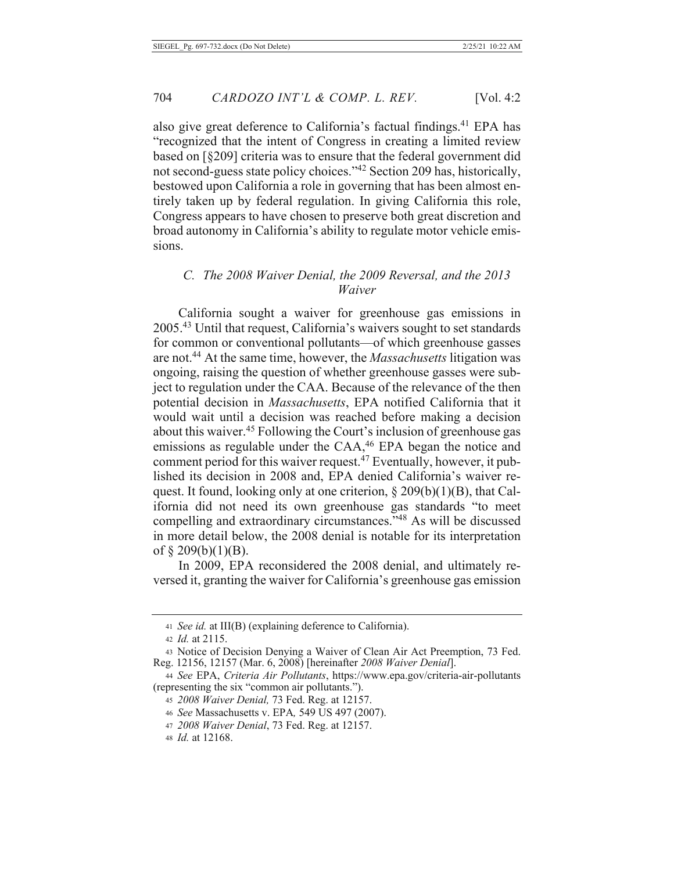also give great deference to California's factual findings.<sup>41</sup> EPA has "recognized that the intent of Congress in creating a limited review based on [§209] criteria was to ensure that the federal government did not second-guess state policy choices."<sup>42</sup> Section 209 has, historically, bestowed upon California a role in governing that has been almost entirely taken up by federal regulation. In giving California this role, Congress appears to have chosen to preserve both great discretion and broad autonomy in California's ability to regulate motor vehicle emissions.

### C. The 2008 Waiver Denial, the 2009 Reversal, and the 2013 Waiver

California sought a waiver for greenhouse gas emissions in 2005.<sup>43</sup> Until that request, California's waivers sought to set standards for common or conventional pollutants—of which greenhouse gasses are not.<sup>44</sup> At the same time, however, the *Massachusetts* litigation was ongoing, raising the question of whether greenhouse gasses were subject to regulation under the CAA. Because of the relevance of the then potential decision in Massachusetts, EPA notified California that it would wait until a decision was reached before making a decision about this waiver.<sup>45</sup> Following the Court's inclusion of greenhouse gas emissions as regulable under the CAA,<sup>46</sup> EPA began the notice and comment period for this waiver request.<sup>47</sup> Eventually, however, it published its decision in 2008 and, EPA denied California's waiver request. It found, looking only at one criterion,  $\S 209(b)(1)(B)$ , that California did not need its own greenhouse gas standards "to meet compelling and extraordinary circumstances."<sup>48</sup> As will be discussed in more detail below, the 2008 denial is notable for its interpretation of  $\S$  209(b)(1)(B).

In 2009, EPA reconsidered the 2008 denial, and ultimately reversed it, granting the waiver for California's greenhouse gas emission

<sup>41</sup> See id. at III(B) (explaining deference to California).

<sup>42</sup> *Id.* at 2115.

<sup>43</sup> Notice of Decision Denying a Waiver of Clean Air Act Preemption, 73 Fed. Reg. 12156, 12157 (Mar. 6, 2008) [hereinafter 2008 Waiver Denial].

<sup>44</sup> See EPA, Criteria Air Pollutants, https://www.epa.gov/criteria-air-pollutants (representing the six "common air pollutants.").

<sup>45 2008</sup> Waiver Denial, 73 Fed. Reg. at 12157.

<sup>46</sup> See Massachusetts v. EPA, 549 US 497 (2007).

<sup>47 2008</sup> Waiver Denial, 73 Fed. Reg. at 12157.

<sup>48</sup> *Id.* at 12168.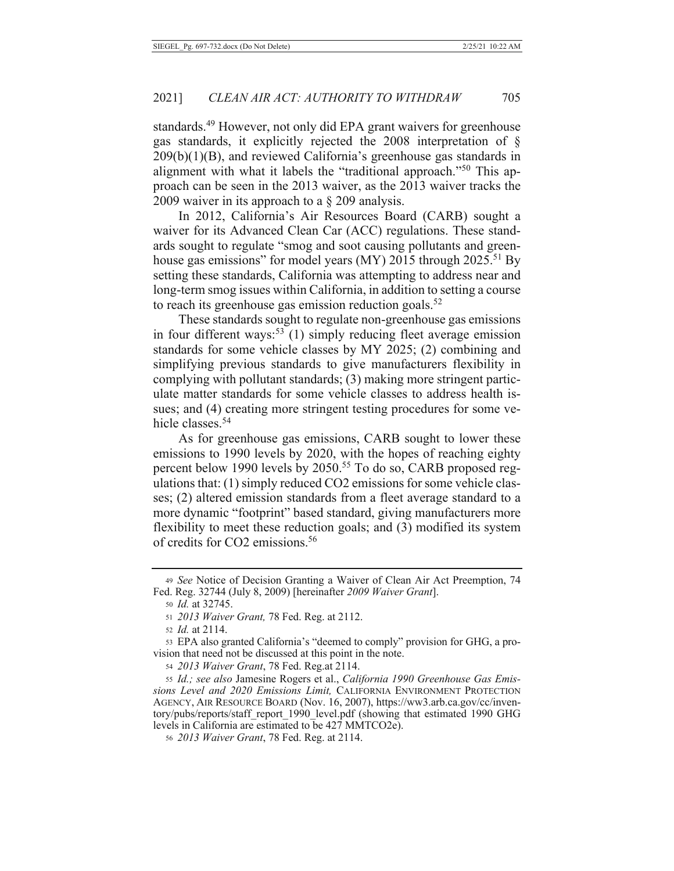standards.<sup>49</sup> However, not only did EPA grant waivers for greenhouse gas standards, it explicitly rejected the 2008 interpretation of §  $209(b)(1)(B)$ , and reviewed California's greenhouse gas standards in alignment with what it labels the "traditional approach."<sup>50</sup> This approach can be seen in the 2013 waiver, as the 2013 waiver tracks the 2009 waiver in its approach to a  $\S$  209 analysis.

In 2012, California's Air Resources Board (CARB) sought a waiver for its Advanced Clean Car (ACC) regulations. These standards sought to regulate "smog and soot causing pollutants and greenhouse gas emissions" for model years (MY) 2015 through 2025.<sup>51</sup> By setting these standards, California was attempting to address near and long-term smog issues within California, in addition to setting a course to reach its greenhouse gas emission reduction goals.<sup>52</sup>

These standards sought to regulate non-greenhouse gas emissions in four different ways:<sup>53</sup> (1) simply reducing fleet average emission standards for some vehicle classes by MY 2025; (2) combining and simplifying previous standards to give manufacturers flexibility in complying with pollutant standards; (3) making more stringent particulate matter standards for some vehicle classes to address health issues; and (4) creating more stringent testing procedures for some vehicle classes.<sup>54</sup>

As for greenhouse gas emissions, CARB sought to lower these emissions to 1990 levels by 2020, with the hopes of reaching eighty percent below 1990 levels by 2050.<sup>55</sup> To do so, CARB proposed regulations that: (1) simply reduced CO2 emissions for some vehicle classes; (2) altered emission standards from a fleet average standard to a more dynamic "footprint" based standard, giving manufacturers more flexibility to meet these reduction goals; and (3) modified its system of credits for CO2 emissions.<sup>56</sup>

<sup>49</sup> See Notice of Decision Granting a Waiver of Clean Air Act Preemption, 74 Fed. Reg. 32744 (July 8, 2009) [hereinafter 2009 Waiver Grant].

<sup>50</sup> *Id.* at 32745.

<sup>51 2013</sup> Waiver Grant, 78 Fed. Reg. at 2112.

<sup>52</sup> *Id.* at 2114.

<sup>53</sup> EPA also granted California's "deemed to comply" provision for GHG, a provision that need not be discussed at this point in the note.

<sup>54 2013</sup> Waiver Grant, 78 Fed. Reg. at 2114.

<sup>55</sup> Id.; see also Jamesine Rogers et al., California 1990 Greenhouse Gas Emissions Level and 2020 Emissions Limit, CALIFORNIA ENVIRONMENT PROTECTION AGENCY, AIR RESOURCE BOARD (Nov. 16, 2007), https://ww3.arb.ca.gov/cc/inventory/pubs/reports/staff\_report\_1990\_level.pdf (showing that estimated 1990 GHG levels in California are estimated to be 427 MMTCO2e).

<sup>56 2013</sup> Waiver Grant, 78 Fed. Reg. at 2114.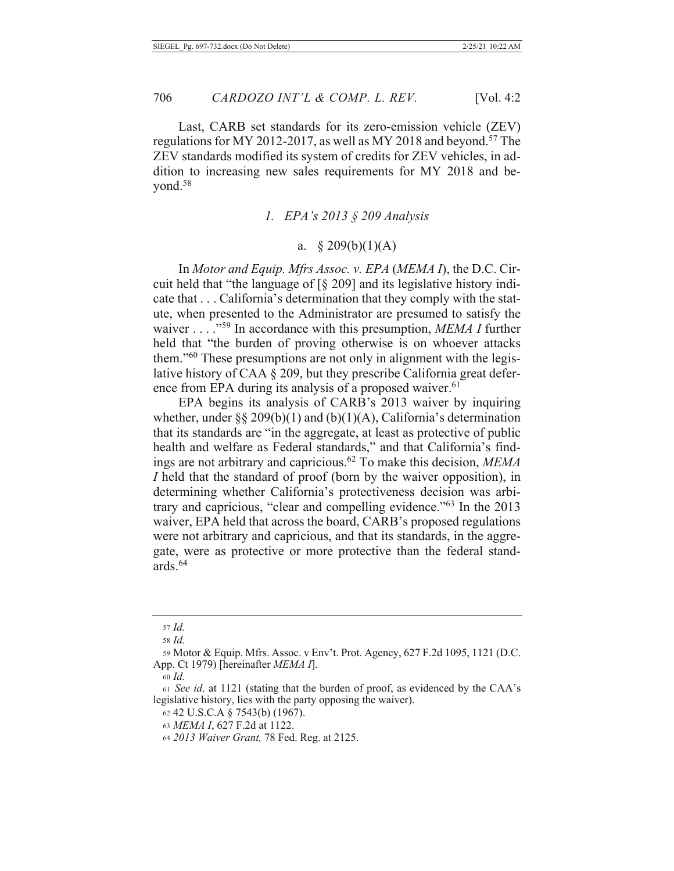Last, CARB set standards for its zero-emission vehicle (ZEV) regulations for MY 2012-2017, as well as MY 2018 and beyond.<sup>57</sup> The ZEV standards modified its system of credits for ZEV vehicles, in addition to increasing new sales requirements for MY 2018 and beyond.<sup>58</sup>

#### 1. EPA's  $2013 \text{ } \text{\&} 5209$  Analysis

## a.  $$209(b)(1)(A)$

In Motor and Equip. Mfrs Assoc. v. EPA (MEMA I), the D.C. Circuit held that "the language of [§ 209] and its legislative history indicate that . . . California's determination that they comply with the statute, when presented to the Administrator are presumed to satisfy the waiver ...  $\cdot$ <sup>59</sup> In accordance with this presumption, MEMA I further held that "the burden of proving otherwise is on whoever attacks them."<sup>60</sup> These presumptions are not only in alignment with the legislative history of CAA § 209, but they prescribe California great deference from EPA during its analysis of a proposed waiver.<sup>61</sup>

EPA begins its analysis of CARB's 2013 waiver by inquiring whether, under §§ 209(b)(1) and (b)(1)(A), California's determination that its standards are "in the aggregate, at least as protective of public health and welfare as Federal standards," and that California's findings are not arbitrary and capricious.<sup>62</sup> To make this decision, MEMA I held that the standard of proof (born by the waiver opposition), in determining whether California's protectiveness decision was arbitrary and capricious, "clear and compelling evidence."<sup>63</sup> In the 2013 waiver, EPA held that across the board, CARB's proposed regulations were not arbitrary and capricious, and that its standards, in the aggregate, were as protective or more protective than the federal standards.<sup>64</sup>

 $57$   $Id$ 

<sup>58</sup> Id.

<sup>59</sup> Motor & Equip. Mfrs. Assoc. v Env't. Prot. Agency, 627 F.2d 1095, 1121 (D.C. App. Ct 1979) [hereinafter MEMA I].

<sup>60</sup> *Id.* 

<sup>61</sup> See id. at 1121 (stating that the burden of proof, as evidenced by the CAA's legislative history, lies with the party opposing the waiver).

<sup>62 42</sup> U.S.C.A § 7543(b) (1967).

<sup>63</sup> MEMA I, 627 F.2d at 1122.

<sup>64 2013</sup> Waiver Grant, 78 Fed. Reg. at 2125.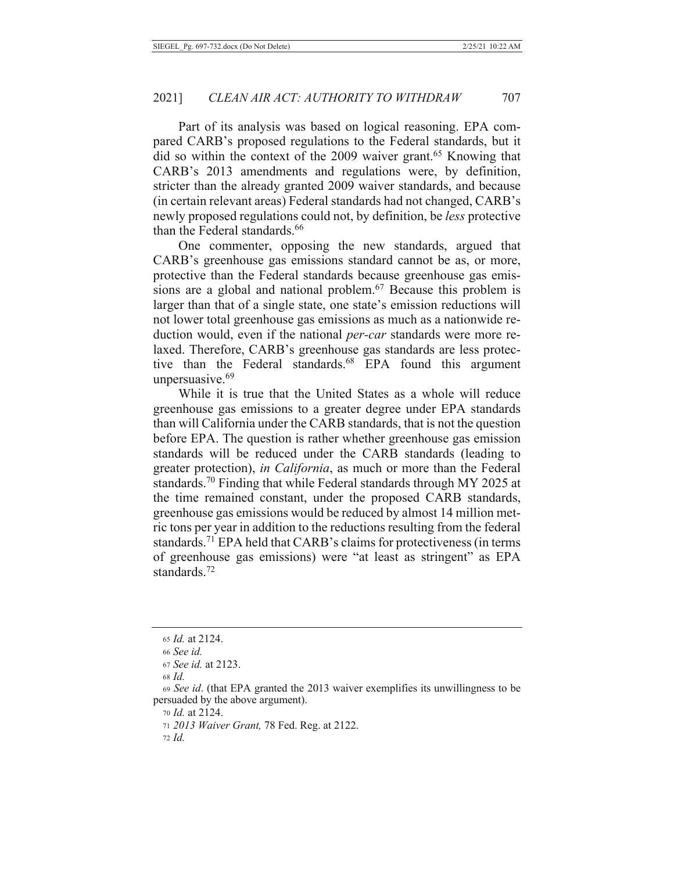Part of its analysis was based on logical reasoning. EPA compared CARB's proposed regulations to the Federal standards, but it did so within the context of the 2009 waiver grant.<sup>65</sup> Knowing that CARB's 2013 amendments and regulations were, by definition, stricter than the already granted 2009 waiver standards, and because (in certain relevant areas) Federal standards had not changed, CARB's newly proposed regulations could not, by definition, be less protective than the Federal standards.<sup>66</sup>

One commenter, opposing the new standards, argued that CARB's greenhouse gas emissions standard cannot be as, or more, protective than the Federal standards because greenhouse gas emissions are a global and national problem.<sup>67</sup> Because this problem is larger than that of a single state, one state's emission reductions will not lower total greenhouse gas emissions as much as a nationwide reduction would, even if the national *per-car* standards were more relaxed. Therefore, CARB's greenhouse gas standards are less protective than the Federal standards.<sup>68</sup> EPA found this argument unpersuasive.<sup>69</sup>

While it is true that the United States as a whole will reduce greenhouse gas emissions to a greater degree under EPA standards than will California under the CARB standards, that is not the question before EPA. The question is rather whether greenhouse gas emission standards will be reduced under the CARB standards (leading to greater protection), *in California*, as much or more than the Federal standards.<sup>70</sup> Finding that while Federal standards through MY 2025 at the time remained constant, under the proposed CARB standards, greenhouse gas emissions would be reduced by almost 14 million metric tons per year in addition to the reductions resulting from the federal standards.<sup>71</sup> EPA held that CARB's claims for protectiveness (in terms of greenhouse gas emissions) were "at least as stringent" as EPA standards  $72$ 

<sup>65</sup> Id. at 2124.

<sup>66</sup> See id.

<sup>67</sup> See id. at 2123.

 $68$  *Id.* 

<sup>69</sup> See id. (that EPA granted the 2013 waiver exemplifies its unwillingness to be persuaded by the above argument).

<sup>70</sup> *Id.* at 2124.

<sup>71 2013</sup> Waiver Grant, 78 Fed. Reg. at 2122.

 $72$  *Id.*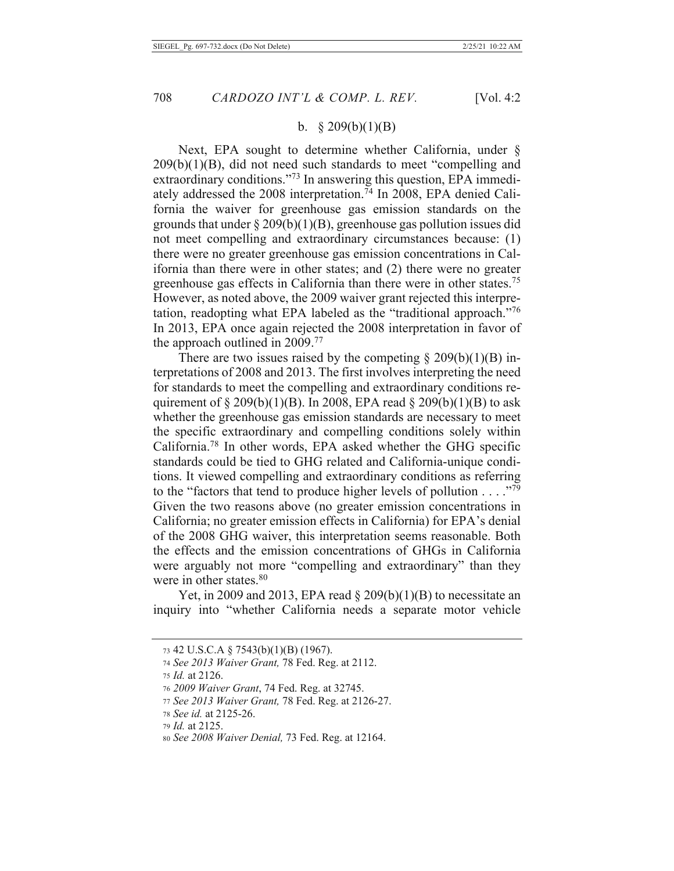### b.  $$209(b)(1)(B)$

Next, EPA sought to determine whether California, under §  $209(b)(1)(B)$ , did not need such standards to meet "compelling and extraordinary conditions."<sup>73</sup> In answering this question, EPA immediately addressed the 2008 interpretation.<sup>74</sup> In 2008, EPA denied California the waiver for greenhouse gas emission standards on the grounds that under  $\S 209(b)(1)(B)$ , greenhouse gas pollution issues did not meet compelling and extraordinary circumstances because: (1) there were no greater greenhouse gas emission concentrations in California than there were in other states; and  $(2)$  there were no greater greenhouse gas effects in California than there were in other states.<sup>75</sup> However, as noted above, the 2009 waiver grant rejected this interpretation, readopting what EPA labeled as the "traditional approach."76 In 2013, EPA once again rejected the 2008 interpretation in favor of the approach outlined in  $2009$ .<sup>77</sup>

There are two issues raised by the competing  $\S 209(b)(1)(B)$  interpretations of 2008 and 2013. The first involves interpreting the need for standards to meet the compelling and extraordinary conditions requirement of  $\S 209(b)(1)(B)$ . In 2008, EPA read  $\S 209(b)(1)(B)$  to ask whether the greenhouse gas emission standards are necessary to meet the specific extraordinary and compelling conditions solely within California.<sup>78</sup> In other words, EPA asked whether the GHG specific standards could be tied to GHG related and California-unique conditions. It viewed compelling and extraordinary conditions as referring to the "factors that tend to produce higher levels of pollution . . . ."79 Given the two reasons above (no greater emission concentrations in California; no greater emission effects in California) for EPA's denial of the 2008 GHG waiver, this interpretation seems reasonable. Both the effects and the emission concentrations of GHGs in California were arguably not more "compelling and extraordinary" than they were in other states.<sup>80</sup>

Yet, in 2009 and 2013, EPA read  $\S 209(b)(1)(B)$  to necessitate an inquiry into "whether California needs a separate motor vehicle

<sup>73 42</sup> U.S.C.A  $\S$  7543(b)(1)(B) (1967).

<sup>74</sup> See 2013 Waiver Grant, 78 Fed. Reg. at 2112.

<sup>75</sup> Id. at 2126.

<sup>76 2009</sup> Waiver Grant, 74 Fed. Reg. at 32745.

<sup>77</sup> See 2013 Waiver Grant, 78 Fed. Reg. at 2126-27.

<sup>78</sup> See id. at 2125-26.

<sup>79</sup> *Id.* at 2125.

so See 2008 Waiver Denial, 73 Fed. Reg. at 12164.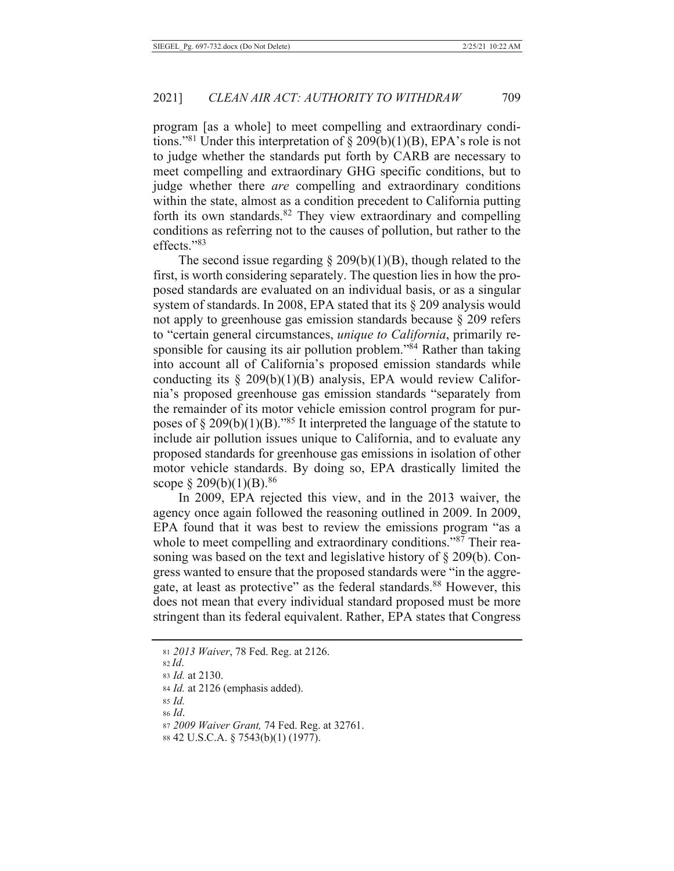program [as a whole] to meet compelling and extraordinary conditions."<sup>81</sup> Under this interpretation of  $\S 209(b)(1)(B)$ , EPA's role is not to judge whether the standards put forth by CARB are necessary to meet compelling and extraordinary GHG specific conditions, but to judge whether there *are* compelling and extraordinary conditions within the state, almost as a condition precedent to California putting forth its own standards.<sup>82</sup> They view extraordinary and compelling conditions as referring not to the causes of pollution, but rather to the effects. $"83$ 

The second issue regarding  $\S 209(b)(1)(B)$ , though related to the first, is worth considering separately. The question lies in how the proposed standards are evaluated on an individual basis, or as a singular system of standards. In 2008, EPA stated that its  $\S$  209 analysis would not apply to greenhouse gas emission standards because  $\S 209$  refers to "certain general circumstances, unique to California, primarily responsible for causing its air pollution problem."<sup>84</sup> Rather than taking into account all of California's proposed emission standards while conducting its  $\S$  209(b)(1)(B) analysis, EPA would review California's proposed greenhouse gas emission standards "separately from the remainder of its motor vehicle emission control program for purposes of  $\S 209(b)(1)(B)$ ."<sup>85</sup> It interpreted the language of the statute to include air pollution issues unique to California, and to evaluate any proposed standards for greenhouse gas emissions in isolation of other motor vehicle standards. By doing so, EPA drastically limited the scope § 209(b)(1)(B).<sup>86</sup>

In 2009, EPA rejected this view, and in the 2013 waiver, the agency once again followed the reasoning outlined in 2009. In 2009, EPA found that it was best to review the emissions program "as a whole to meet compelling and extraordinary conditions."87 Their reasoning was based on the text and legislative history of  $\S 209(b)$ . Congress wanted to ensure that the proposed standards were "in the aggregate, at least as protective" as the federal standards.<sup>88</sup> However, this does not mean that every individual standard proposed must be more stringent than its federal equivalent. Rather, EPA states that Congress

 $86$  *Id.* 

<sup>81 2013</sup> Waiver, 78 Fed. Reg. at 2126.

 $82$  Id.

<sup>83</sup> Id. at 2130.

<sup>84</sup> Id. at 2126 (emphasis added).

<sup>85</sup> Id.

<sup>87 2009</sup> Waiver Grant, 74 Fed. Reg. at 32761.

<sup>88 42</sup> U.S.C.A. § 7543(b)(1) (1977).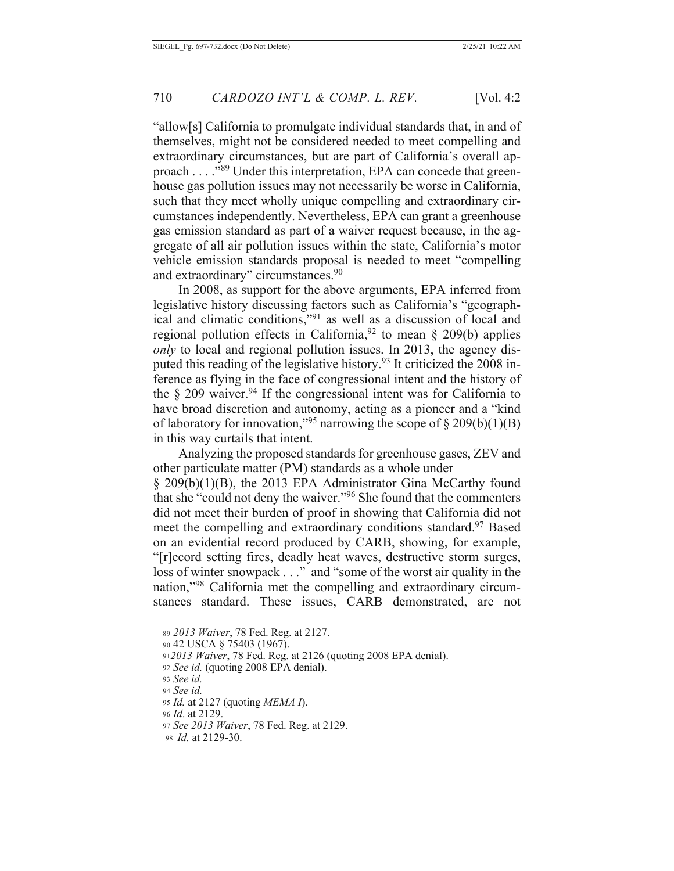"allow[s] California to promulgate individual standards that, in and of themselves, might not be considered needed to meet compelling and extraordinary circumstances, but are part of California's overall approach . . . . "89 Under this interpretation, EPA can concede that greenhouse gas pollution issues may not necessarily be worse in California, such that they meet wholly unique compelling and extraordinary circumstances independently. Nevertheless, EPA can grant a greenhouse gas emission standard as part of a waiver request because, in the aggregate of all air pollution issues within the state, California's motor vehicle emission standards proposal is needed to meet "compelling and extraordinary" circumstances.<sup>90</sup>

In 2008, as support for the above arguments, EPA inferred from legislative history discussing factors such as California's "geographical and climatic conditions,"<sup>91</sup> as well as a discussion of local and regional pollution effects in California,  $92$  to mean § 209(b) applies only to local and regional pollution issues. In 2013, the agency disputed this reading of the legislative history.<sup>93</sup> It criticized the 2008 inference as flying in the face of congressional intent and the history of the  $\S$  209 waiver.<sup>94</sup> If the congressional intent was for California to have broad discretion and autonomy, acting as a pioneer and a "kind of laboratory for innovation,"<sup>95</sup> narrowing the scope of § 209(b)(1)(B) in this way curtails that intent.

Analyzing the proposed standards for greenhouse gases, ZEV and other particulate matter (PM) standards as a whole under § 209(b)(1)(B), the 2013 EPA Administrator Gina McCarthy found that she "could not deny the waiver."<sup>96</sup> She found that the commenters did not meet their burden of proof in showing that California did not meet the compelling and extraordinary conditions standard.<sup>97</sup> Based on an evidential record produced by CARB, showing, for example, "[r]ecord setting fires, deadly heat waves, destructive storm surges, loss of winter snowpack . . ." and "some of the worst air quality in the nation,"<sup>98</sup> California met the compelling and extraordinary circumstances standard. These issues, CARB demonstrated, are not

<sup>89 2013</sup> Waiver, 78 Fed. Reg. at 2127.

<sup>90 42</sup> USCA § 75403 (1967).

<sup>912013</sup> Waiver, 78 Fed. Reg. at 2126 (quoting 2008 EPA denial).

<sup>92</sup> See id. (quoting 2008 EPA denial).

<sup>93</sup> See id.

<sup>94</sup> See id.

<sup>95</sup> Id. at 2127 (quoting MEMA I).

<sup>96</sup> *Id.* at 2129.

<sup>97</sup> See 2013 Waiver, 78 Fed. Reg. at 2129.

<sup>98</sup> *Id.* at 2129-30.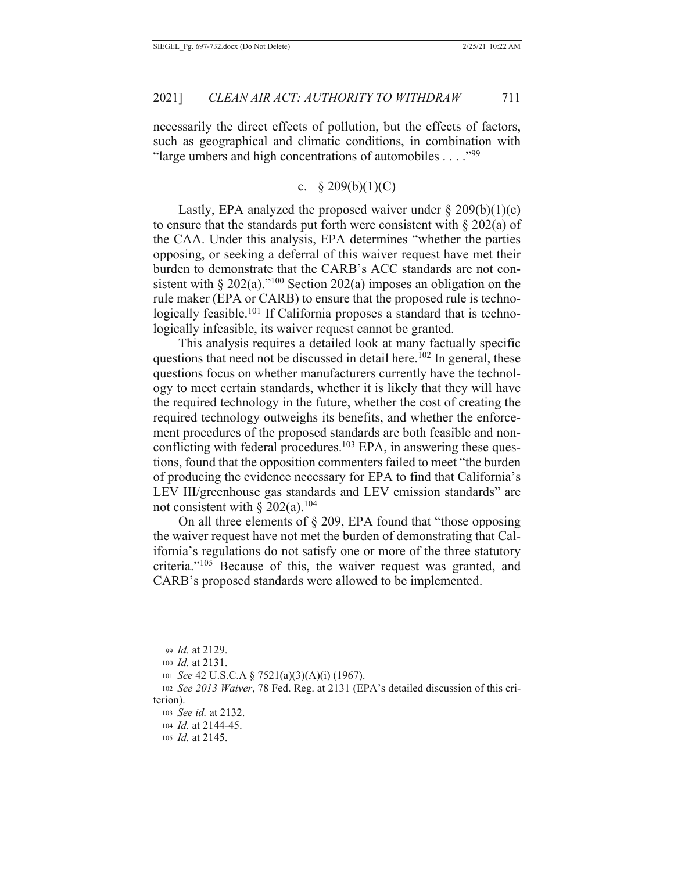necessarily the direct effects of pollution, but the effects of factors, such as geographical and climatic conditions, in combination with "large umbers and high concentrations of automobiles . . . . "99"

#### c.  $$209(b)(1)(C)$

Lastly, EPA analyzed the proposed waiver under  $\S 209(b)(1)(c)$ to ensure that the standards put forth were consistent with  $\S 202(a)$  of the CAA. Under this analysis, EPA determines "whether the parties opposing, or seeking a deferral of this waiver request have met their burden to demonstrate that the CARB's ACC standards are not consistent with  $\S 202(a)$ ."<sup>100</sup> Section 202(a) imposes an obligation on the rule maker (EPA or CARB) to ensure that the proposed rule is technologically feasible.<sup>101</sup> If California proposes a standard that is technologically infeasible, its waiver request cannot be granted.

This analysis requires a detailed look at many factually specific questions that need not be discussed in detail here.<sup>102</sup> In general, these questions focus on whether manufacturers currently have the technology to meet certain standards, whether it is likely that they will have the required technology in the future, whether the cost of creating the required technology outweighs its benefits, and whether the enforcement procedures of the proposed standards are both feasible and nonconflicting with federal procedures.<sup>103</sup> EPA, in answering these questions, found that the opposition commenters failed to meet "the burden" of producing the evidence necessary for EPA to find that California's LEV III/greenhouse gas standards and LEV emission standards" are not consistent with  $\S 202(a)$ .<sup>104</sup>

On all three elements of  $\S$  209, EPA found that "those opposing the waiver request have not met the burden of demonstrating that California's regulations do not satisfy one or more of the three statutory criteria."<sup>105</sup> Because of this, the waiver request was granted, and CARB's proposed standards were allowed to be implemented.

<sup>99</sup> Id. at 2129.

<sup>100</sup> Id. at 2131.

<sup>101</sup> See 42 U.S.C.A § 7521(a)(3)(A)(i) (1967).

<sup>102</sup> See 2013 Waiver, 78 Fed. Reg. at 2131 (EPA's detailed discussion of this criterion).

<sup>103</sup> See id. at 2132.

<sup>104</sup> *Id.* at 2144-45.

<sup>105</sup> *Id.* at 2145.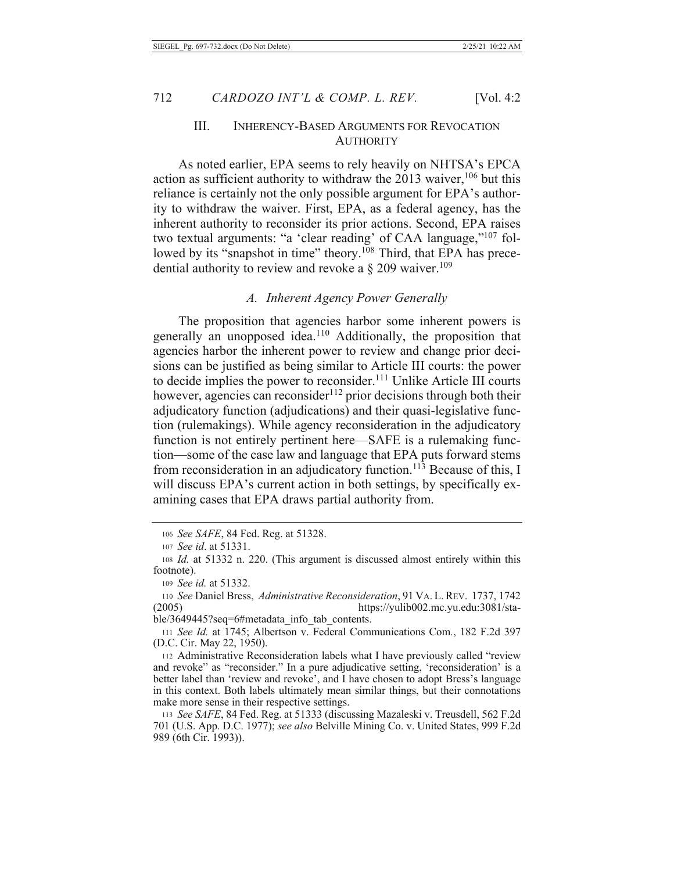### III. INHERENCY-BASED ARGUMENTS FOR REVOCATION **AUTHORITY**

As noted earlier, EPA seems to rely heavily on NHTSA's EPCA action as sufficient authority to withdraw the 2013 waiver,  $106$  but this reliance is certainly not the only possible argument for EPA's authority to withdraw the waiver. First, EPA, as a federal agency, has the inherent authority to reconsider its prior actions. Second, EPA raises two textual arguments: "a 'clear reading' of CAA language,"<sup>107</sup> followed by its "snapshot in time" theory.<sup>108</sup> Third, that EPA has precedential authority to review and revoke a  $\S 209$  waiver.<sup>109</sup>

#### *A. Inherent Agency Power Generally*

The proposition that agencies harbor some inherent powers is generally an unopposed idea.<sup>110</sup> Additionally, the proposition that agencies harbor the inherent power to review and change prior decisions can be justified as being similar to Article III courts: the power to decide implies the power to reconsider.<sup>111</sup> Unlike Article III courts however, agencies can reconsider<sup>112</sup> prior decisions through both their adjudicatory function (adjudications) and their quasi-legislative function (rulemakings). While agency reconsideration in the adjudicatory function is not entirely pertinent here—SAFE is a rulemaking function—some of the case law and language that EPA puts forward stems from reconsideration in an adjudicatory function.<sup>113</sup> Because of this, I will discuss EPA's current action in both settings, by specifically examining cases that EPA draws partial authority from.

<sup>106</sup> See SAFE, 84 Fed. Reg. at 51328.

<sup>107</sup> See id. at 51331.

<sup>108</sup> Id. at 51332 n. 220. (This argument is discussed almost entirely within this footnote).

<sup>109</sup> See id. at 51332.

<sup>110</sup> See Daniel Bress, Administrative Reconsideration, 91 VA. L. REV. 1737, 1742  $(\text{2005})$  https://yulib002.mc.yu.edu:3081/sta-

ble/3649445?seq=6#metadata info tab contents.

<sup>111</sup> See Id. at 1745; Albertson v. Federal Communications Com., 182 F.2d 397 (D.C. Cir. May 22, 1950).

<sup>112</sup> Administrative Reconsideration labels what I have previously called "review" and revoke" as "reconsider." In a pure adjudicative setting, 'reconsideration' is a better label than 'review and revoke', and I have chosen to adopt Bress's language in this context. Both labels ultimately mean similar things, but their connotations make more sense in their respective settings.

<sup>113</sup> See SAFE, 84 Fed. Reg. at 51333 (discussing Mazaleski v. Treusdell, 562 F.2d 701 (U.S. App. D.C. 1977); see also Belville Mining Co. v. United States, 999 F.2d 989 (6th Cir. 1993)).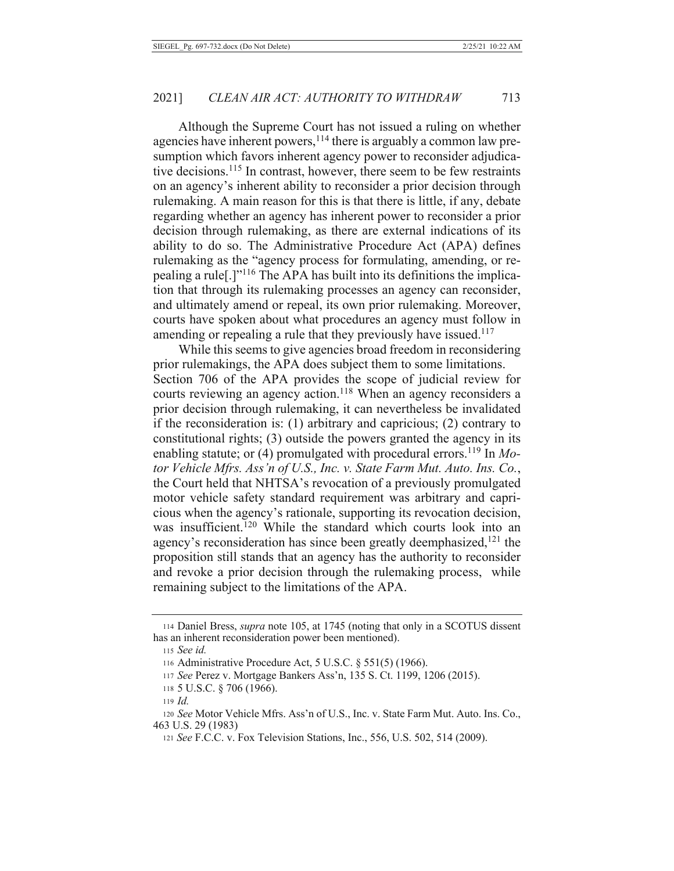Although the Supreme Court has not issued a ruling on whether agencies have inherent powers,  $^{114}$  there is arguably a common law presumption which favors inherent agency power to reconsider adjudicative decisions.<sup>115</sup> In contrast, however, there seem to be few restraints on an agency's inherent ability to reconsider a prior decision through rulemaking. A main reason for this is that there is little, if any, debate regarding whether an agency has inherent power to reconsider a prior decision through rulemaking, as there are external indications of its ability to do so. The Administrative Procedure Act (APA) defines rulemaking as the "agency process for formulating, amending, or repealing a rule<sup>[1]</sup><sup>116</sup> The APA has built into its definitions the implication that through its rulemaking processes an agency can reconsider, and ultimately amend or repeal, its own prior rulemaking. Moreover, courts have spoken about what procedures an agency must follow in amending or repealing a rule that they previously have issued.<sup>117</sup>

While this seems to give agencies broad freedom in reconsidering prior rulemakings, the APA does subject them to some limitations. Section 706 of the APA provides the scope of judicial review for courts reviewing an agency action.<sup>118</sup> When an agency reconsiders a prior decision through rulemaking, it can nevertheless be invalidated if the reconsideration is:  $(1)$  arbitrary and capricious;  $(2)$  contrary to constitutional rights;  $(3)$  outside the powers granted the agency in its enabling statute; or (4) promulgated with procedural errors.<sup>119</sup> In Mo*for Vehicle Mfrs. Ass'n of U.S., Inc. v. State Farm Mut. Auto. Ins. Co.,* the Court held that NHTSA's revocation of a previously promulgated motor vehicle safety standard requirement was arbitrary and capricious when the agency's rationale, supporting its revocation decision, was insufficient.<sup>120</sup> While the standard which courts look into an agency's reconsideration has since been greatly deemphasized,<sup>121</sup> the proposition still stands that an agency has the authority to reconsider and revoke a prior decision through the rulemaking process, while remaining subject to the limitations of the APA.

<sup>114</sup> Daniel Bress, *supra* note 105, at 1745 (noting that only in a SCOTUS dissent has an inherent reconsideration power been mentioned).

*<sup>115</sup> See id.* 

<sup>116</sup> Administrative Procedure Act,  $5$  U.S.C.  $§$   $551(5)$  (1966).

<sup>117</sup> See Perez v. Mortgage Bankers Ass'n, 135 S. Ct. 1199, 1206 (2015).

<sup>118 5</sup> U.S.C.  $\S$  706 (1966).

 $119$  *Id.* 

<sup>120</sup> See Motor Vehicle Mfrs. Ass'n of U.S., Inc. v. State Farm Mut. Auto. Ins. Co.,  $463$  U.S. 29 (1983)

<sup>121</sup> *See* F.C.C. v. Fox Television Stations, Inc., 556, U.S. 502, 514 (2009).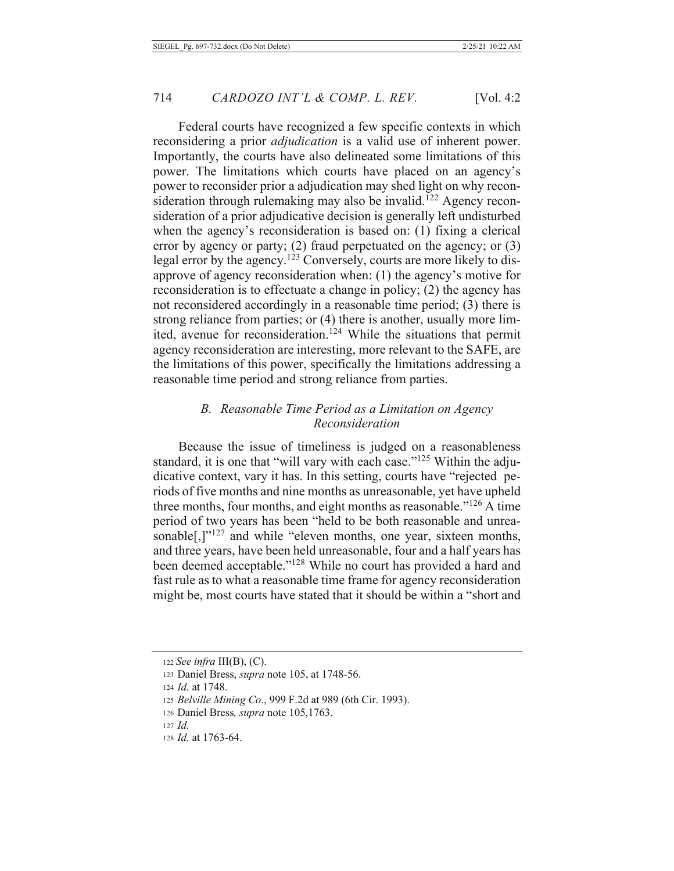Federal courts have recognized a few specific contexts in which reconsidering a prior *adjudication* is a valid use of inherent power. Importantly, the courts have also delineated some limitations of this power. The limitations which courts have placed on an agency's power to reconsider prior a adjudication may shed light on why reconsideration through rulemaking may also be invalid.<sup>122</sup> Agency reconsideration of a prior adjudicative decision is generally left undisturbed when the agency's reconsideration is based on: (1) fixing a clerical error by agency or party;  $(2)$  fraud perpetuated on the agency; or  $(3)$ legal error by the agency.<sup>123</sup> Conversely, courts are more likely to disapprove of agency reconsideration when: (1) the agency's motive for reconsideration is to effectuate a change in policy; (2) the agency has not reconsidered accordingly in a reasonable time period; (3) there is strong reliance from parties; or (4) there is another, usually more limited, avenue for reconsideration.<sup>124</sup> While the situations that permit agency reconsideration are interesting, more relevant to the SAFE, are the limitations of this power, specifically the limitations addressing a reasonable time period and strong reliance from parties.

## B. Reasonable Time Period as a Limitation on Agency Reconsideration

Because the issue of timeliness is judged on a reasonableness standard, it is one that "will vary with each case."<sup>125</sup> Within the adjudicative context, vary it has. In this setting, courts have "rejected periods of five months and nine months as unreasonable, yet have upheld three months, four months, and eight months as reasonable."<sup>126</sup> A time period of two years has been "held to be both reasonable and unreasonable<sup>[1]'127</sup> and while "eleven months, one year, sixteen months, and three years, have been held unreasonable, four and a half years has been deemed acceptable."<sup>128</sup> While no court has provided a hard and fast rule as to what a reasonable time frame for agency reconsideration might be, most courts have stated that it should be within a "short and

<sup>122</sup> See infra III(B), (C).

<sup>123</sup> Daniel Bress, *supra* note 105, at 1748-56.

<sup>124</sup> *Id.* at 1748.

<sup>125</sup> Belville Mining Co., 999 F.2d at 989 (6th Cir. 1993).

<sup>126</sup> Daniel Bress, supra note 105,1763.

 $127$  *Id.* 

<sup>128</sup> *Id.* at 1763-64.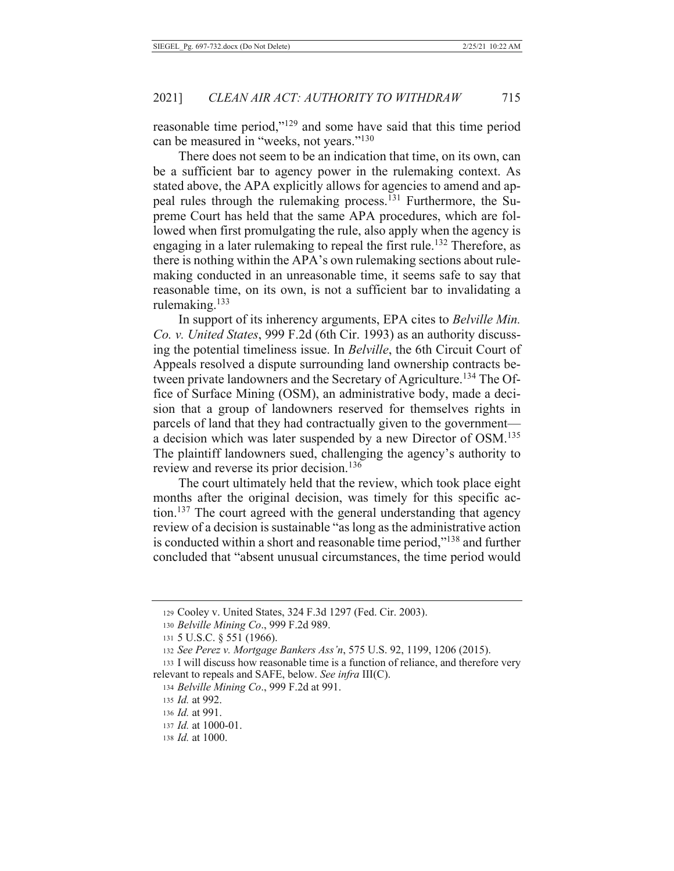reasonable time period,"<sup>129</sup> and some have said that this time period can be measured in "weeks, not years."<sup>130</sup>

There does not seem to be an indication that time, on its own, can be a sufficient bar to agency power in the rulemaking context. As stated above, the APA explicitly allows for agencies to amend and appeal rules through the rulemaking process.<sup>131</sup> Furthermore, the Supreme Court has held that the same APA procedures, which are followed when first promulgating the rule, also apply when the agency is engaging in a later rule making to repeal the first rule.<sup>132</sup> Therefore, as there is nothing within the APA's own rulemaking sections about rulemaking conducted in an unreasonable time, it seems safe to say that reasonable time, on its own, is not a sufficient bar to invalidating a rulemaking.<sup>133</sup>

In support of its inherency arguments, EPA cites to *Belville Min*. Co. v. United States, 999 F.2d (6th Cir. 1993) as an authority discussing the potential timeliness issue. In Belville, the 6th Circuit Court of Appeals resolved a dispute surrounding land ownership contracts between private landowners and the Secretary of Agriculture.<sup>134</sup> The Office of Surface Mining (OSM), an administrative body, made a decision that a group of landowners reserved for themselves rights in parcels of land that they had contractually given to the governmenta decision which was later suspended by a new Director of OSM.<sup>135</sup> The plaintiff landowners sued, challenging the agency's authority to review and reverse its prior decision.<sup>136</sup>

The court ultimately held that the review, which took place eight months after the original decision, was timely for this specific action.<sup>137</sup> The court agreed with the general understanding that agency review of a decision is sustainable "as long as the administrative action is conducted within a short and reasonable time period,"<sup>138</sup> and further concluded that "absent unusual circumstances, the time period would

<sup>129</sup> Cooley v. United States, 324 F.3d 1297 (Fed. Cir. 2003).

<sup>130</sup> Belville Mining Co., 999 F.2d 989.

<sup>131 5</sup> U.S.C. § 551 (1966).

<sup>132</sup> See Perez v. Mortgage Bankers Ass'n, 575 U.S. 92, 1199, 1206 (2015).

<sup>133</sup> I will discuss how reasonable time is a function of reliance, and therefore very relevant to repeals and SAFE, below. See infra III(C).

<sup>134</sup> Belville Mining Co., 999 F.2d at 991.

<sup>135</sup> *Id.* at 992.

<sup>136</sup> Id. at 991.

<sup>137</sup> *Id.* at 1000-01.

<sup>138</sup> *Id.* at 1000.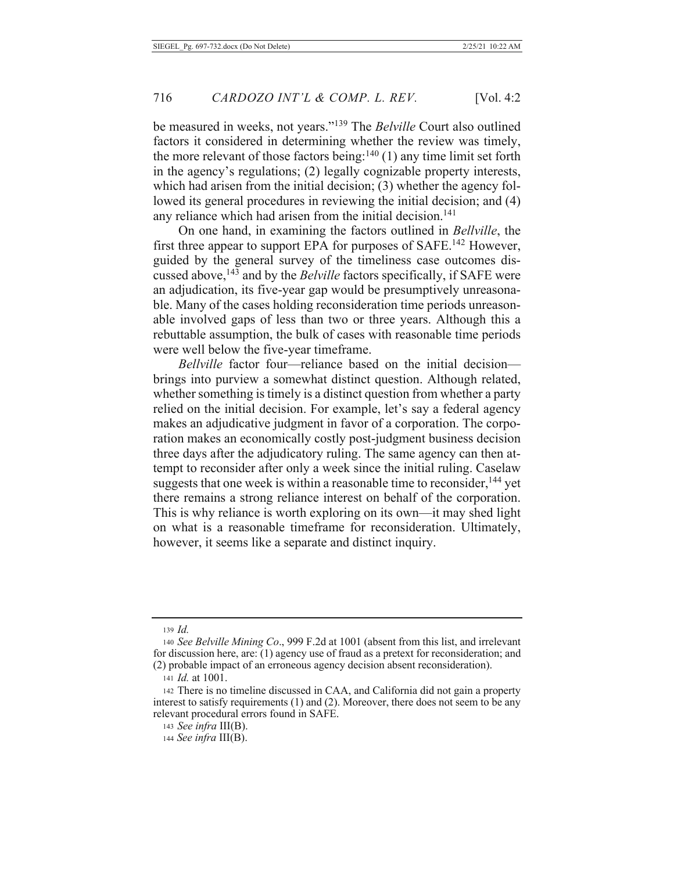be measured in weeks, not years."<sup>139</sup> The Belville Court also outlined factors it considered in determining whether the review was timely, the more relevant of those factors being: $140$  (1) any time limit set forth in the agency's regulations; (2) legally cognizable property interests, which had arisen from the initial decision;  $(3)$  whether the agency followed its general procedures in reviewing the initial decision; and (4) any reliance which had arisen from the initial decision.<sup>141</sup>

On one hand, in examining the factors outlined in Bellville, the first three appear to support EPA for purposes of SAFE.<sup>142</sup> However, guided by the general survey of the timeliness case outcomes discussed above,<sup>143</sup> and by the *Belville* factors specifically, if SAFE were an adjudication, its five-year gap would be presumptively unreasonable. Many of the cases holding reconsideration time periods unreasonable involved gaps of less than two or three years. Although this a rebuttable assumption, the bulk of cases with reasonable time periods were well below the five-year timeframe.

Bellville factor four—reliance based on the initial decision brings into purview a somewhat distinct question. Although related, whether something is timely is a distinct question from whether a party relied on the initial decision. For example, let's say a federal agency makes an adjudicative judgment in favor of a corporation. The corporation makes an economically costly post-judgment business decision three days after the adjudicatory ruling. The same agency can then attempt to reconsider after only a week since the initial ruling. Caselaw suggests that one week is within a reasonable time to reconsider,<sup>144</sup> yet there remains a strong reliance interest on behalf of the corporation. This is why reliance is worth exploring on its own—it may shed light on what is a reasonable timeframe for reconsideration. Ultimately, however, it seems like a separate and distinct inquiry.

 $139$  *Id.* 

<sup>140</sup> See Belville Mining Co., 999 F.2d at 1001 (absent from this list, and irrelevant for discussion here, are: (1) agency use of fraud as a pretext for reconsideration; and (2) probable impact of an erroneous agency decision absent reconsideration).

<sup>141</sup> *Id.* at 1001.

<sup>142</sup> There is no timeline discussed in CAA, and California did not gain a property interest to satisfy requirements  $(1)$  and  $(2)$ . Moreover, there does not seem to be any relevant procedural errors found in SAFE.

<sup>143</sup> See infra  $III(B)$ .

<sup>144</sup> See infra III(B).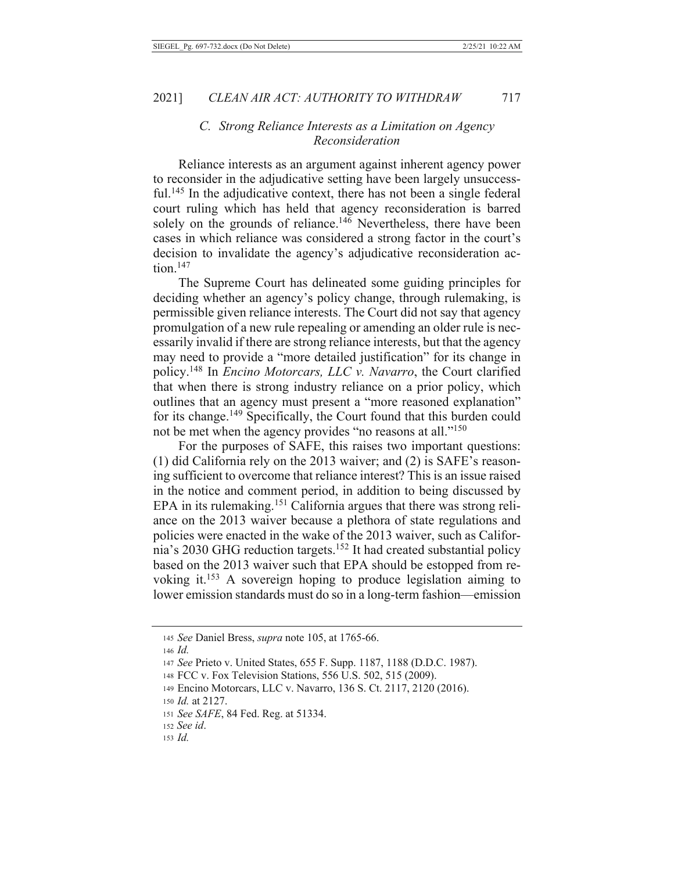#### C. Strong Reliance Interests as a Limitation on Agency Reconsideration

Reliance interests as an argument against inherent agency power to reconsider in the adjudicative setting have been largely unsuccessful.<sup>145</sup> In the adjudicative context, there has not been a single federal court ruling which has held that agency reconsideration is barred solely on the grounds of reliance.<sup>146</sup> Nevertheless, there have been cases in which reliance was considered a strong factor in the court's decision to invalidate the agency's adjudicative reconsideration ac- $\frac{\text{tion}}{2}$ <sup>147</sup>

The Supreme Court has delineated some guiding principles for deciding whether an agency's policy change, through rulemaking, is permissible given reliance interests. The Court did not say that agency promulgation of a new rule repealing or amending an older rule is necessarily invalid if there are strong reliance interests, but that the agency may need to provide a "more detailed justification" for its change in policy.<sup>148</sup> In *Encino Motorcars*, *LLC v. Navarro*, the Court clarified that when there is strong industry reliance on a prior policy, which outlines that an agency must present a "more reasoned explanation" for its change.<sup>149</sup> Specifically, the Court found that this burden could not be met when the agency provides "no reasons at all."<sup>150</sup>

For the purposes of SAFE, this raises two important questions: (1) did California rely on the 2013 waiver; and (2) is SAFE's reasoning sufficient to overcome that reliance interest? This is an issue raised in the notice and comment period, in addition to being discussed by EPA in its rulemaking.<sup>151</sup> California argues that there was strong reliance on the 2013 waiver because a plethora of state regulations and policies were enacted in the wake of the 2013 waiver, such as California's 2030 GHG reduction targets.<sup>152</sup> It had created substantial policy based on the 2013 waiver such that EPA should be estopped from revoking it.<sup>153</sup> A sovereign hoping to produce legislation aiming to lower emission standards must do so in a long-term fashion—emission

<sup>145</sup> See Daniel Bress, *supra* note 105, at 1765-66.

 $146$  *Id.* 

<sup>147</sup> See Prieto v. United States, 655 F. Supp. 1187, 1188 (D.D.C. 1987).

<sup>148</sup> FCC v. Fox Television Stations, 556 U.S. 502, 515 (2009).

<sup>149</sup> Encino Motorcars, LLC v. Navarro, 136 S. Ct. 2117, 2120 (2016).

<sup>150</sup> Id. at 2127.

<sup>151</sup> See SAFE, 84 Fed. Reg. at 51334.

<sup>152</sup> See id.

 $153$  *Id.*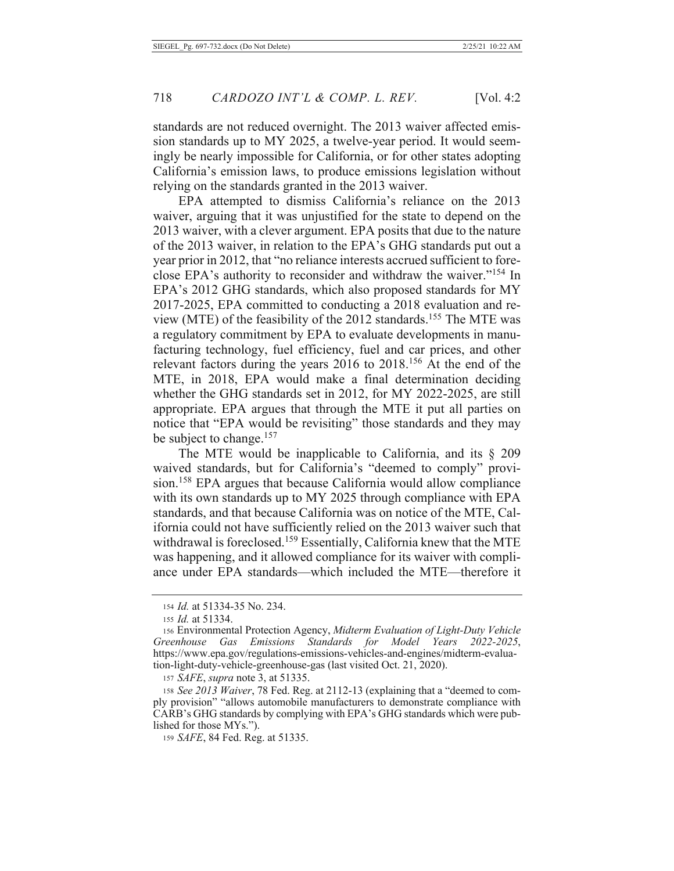standards are not reduced overnight. The 2013 waiver affected emission standards up to MY 2025, a twelve-year period. It would seemingly be nearly impossible for California, or for other states adopting California's emission laws, to produce emissions legislation without relying on the standards granted in the 2013 waiver.

EPA attempted to dismiss California's reliance on the 2013 waiver, arguing that it was unjustified for the state to depend on the 2013 waiver, with a clever argument. EPA posits that due to the nature of the 2013 waiver, in relation to the EPA's GHG standards put out a year prior in 2012, that "no reliance interests accrued sufficient to foreclose EPA's authority to reconsider and withdraw the waiver."<sup>154</sup> In EPA's 2012 GHG standards, which also proposed standards for MY 2017-2025, EPA committed to conducting a 2018 evaluation and review (MTE) of the feasibility of the 2012 standards.<sup>155</sup> The MTE was a regulatory commitment by EPA to evaluate developments in manufacturing technology, fuel efficiency, fuel and car prices, and other relevant factors during the years 2016 to 2018.<sup>156</sup> At the end of the MTE, in 2018, EPA would make a final determination deciding whether the GHG standards set in 2012, for MY 2022-2025, are still appropriate. EPA argues that through the MTE it put all parties on notice that "EPA would be revisiting" those standards and they may be subject to change.<sup>157</sup>

The MTE would be inapplicable to California, and its  $\S$  209 waived standards, but for California's "deemed to comply" provision.<sup>158</sup> EPA argues that because California would allow compliance with its own standards up to MY 2025 through compliance with EPA standards, and that because California was on notice of the MTE, California could not have sufficiently relied on the 2013 waiver such that withdrawal is foreclosed.<sup>159</sup> Essentially, California knew that the MTE was happening, and it allowed compliance for its waiver with compliance under EPA standards—which included the MTE—therefore it

157 SAFE, supra note 3, at 51335.

158 See 2013 Waiver, 78 Fed. Reg. at 2112-13 (explaining that a "deemed to comply provision" "allows automobile manufacturers to demonstrate compliance with CARB's GHG standards by complying with EPA's GHG standards which were published for those MYs.").

159 SAFE, 84 Fed. Reg. at 51335.

<sup>154</sup> *Id.* at 51334-35 No. 234.

<sup>155</sup> *Id.* at 51334.

<sup>156</sup> Environmental Protection Agency, Midterm Evaluation of Light-Duty Vehicle Gas Emissions Standards for Model Years Greenhouse 2022-2025, https://www.epa.gov/regulations-emissions-vehicles-and-engines/midterm-evaluation-light-duty-vehicle-greenhouse-gas (last visited Oct. 21, 2020).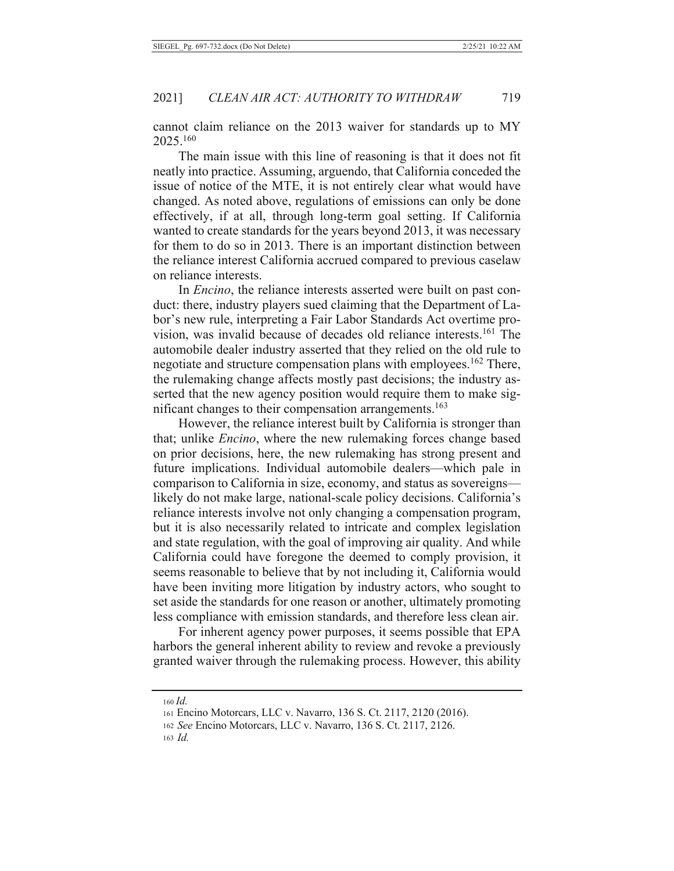cannot claim reliance on the 2013 waiver for standards up to MY 2025.160

The main issue with this line of reasoning is that it does not fit neatly into practice. Assuming, arguendo, that California conceded the issue of notice of the MTE, it is not entirely clear what would have changed. As noted above, regulations of emissions can only be done effectively, if at all, through long-term goal setting. If California wanted to create standards for the years beyond 2013, it was necessary for them to do so in 2013. There is an important distinction between the reliance interest California accrued compared to previous caselaw on reliance interests.

In *Encino*, the reliance interests asserted were built on past conduct: there, industry players sued claiming that the Department of Labor's new rule, interpreting a Fair Labor Standards Act overtime provision, was invalid because of decades old reliance interests.<sup>161</sup> The automobile dealer industry asserted that they relied on the old rule to negotiate and structure compensation plans with employees.<sup>162</sup> There, the rulemaking change affects mostly past decisions; the industry asserted that the new agency position would require them to make significant changes to their compensation arrangements.<sup>163</sup>

However, the reliance interest built by California is stronger than that; unlike *Encino*, where the new rulemaking forces change based on prior decisions, here, the new rulemaking has strong present and future implications. Individual automobile dealers—which pale in comparison to California in size, economy, and status as sovereigns likely do not make large, national-scale policy decisions. California's reliance interests involve not only changing a compensation program, but it is also necessarily related to intricate and complex legislation and state regulation, with the goal of improving air quality. And while California could have foregone the deemed to comply provision, it seems reasonable to believe that by not including it, California would have been inviting more litigation by industry actors, who sought to set aside the standards for one reason or another, ultimately promoting less compliance with emission standards, and therefore less clean air.

For inherent agency power purposes, it seems possible that EPA harbors the general inherent ability to review and revoke a previously granted waiver through the rulemaking process. However, this ability

 $160$  Id.

 $163$  *Id.* 

<sup>161</sup> Encino Motorcars, LLC v. Navarro, 136 S. Ct. 2117, 2120 (2016).

<sup>162</sup> See Encino Motorcars, LLC v. Navarro, 136 S. Ct. 2117, 2126.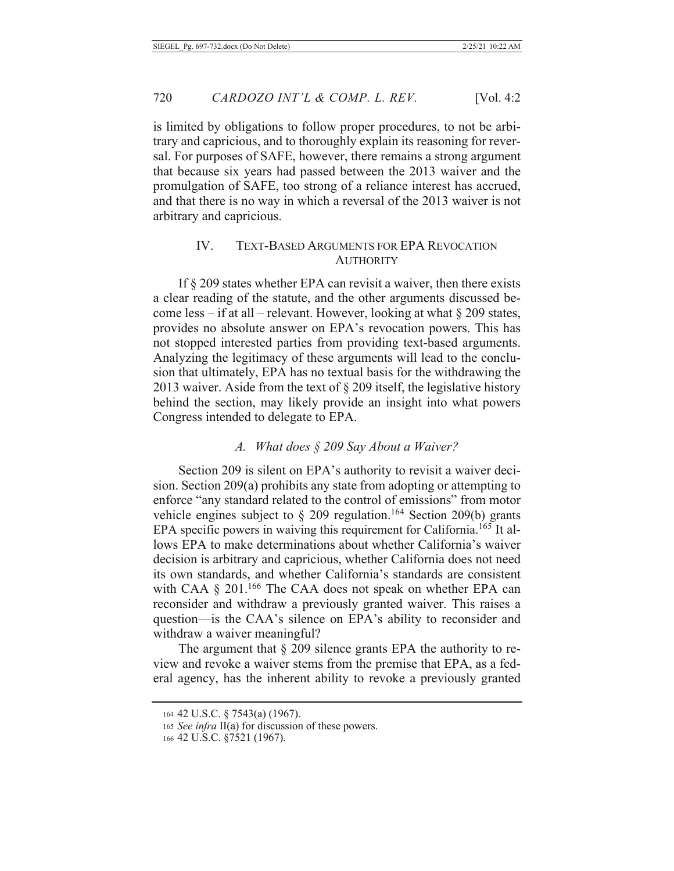is limited by obligations to follow proper procedures, to not be arbitrary and capricious, and to thoroughly explain its reasoning for reversal. For purposes of SAFE, however, there remains a strong argument that because six years had passed between the 2013 waiver and the promulgation of SAFE, too strong of a reliance interest has accrued, and that there is no way in which a reversal of the 2013 waiver is not arbitrary and capricious.

#### **TEXT-BASED ARGUMENTS FOR EPA REVOCATION** IV. **AUTHORITY**

If  $\S$  209 states whether EPA can revisit a waiver, then there exists a clear reading of the statute, and the other arguments discussed become less – if at all – relevant. However, looking at what  $\S 209$  states, provides no absolute answer on EPA's revocation powers. This has not stopped interested parties from providing text-based arguments. Analyzing the legitimacy of these arguments will lead to the conclusion that ultimately, EPA has no textual basis for the withdrawing the 2013 waiver. Aside from the text of  $\S 209$  itself, the legislative history behind the section, may likely provide an insight into what powers Congress intended to delegate to EPA.

#### A. What does  $\S$  209 Say About a Waiver?

Section 209 is silent on EPA's authority to revisit a waiver decision. Section 209(a) prohibits any state from adopting or attempting to enforce "any standard related to the control of emissions" from motor vehicle engines subject to § 209 regulation.<sup>164</sup> Section 209(b) grants EPA specific powers in waiving this requirement for California.<sup>165</sup> It allows EPA to make determinations about whether California's waiver decision is arbitrary and capricious, whether California does not need its own standards, and whether California's standards are consistent with CAA § 201.<sup>166</sup> The CAA does not speak on whether EPA can reconsider and withdraw a previously granted waiver. This raises a question—is the CAA's silence on EPA's ability to reconsider and withdraw a waiver meaningful?

The argument that  $\S$  209 silence grants EPA the authority to review and revoke a waiver stems from the premise that EPA, as a federal agency, has the inherent ability to revoke a previously granted

<sup>164 42</sup> U.S.C. § 7543(a) (1967).

<sup>165</sup> See infra II(a) for discussion of these powers.

<sup>166 42</sup> U.S.C. §7521 (1967).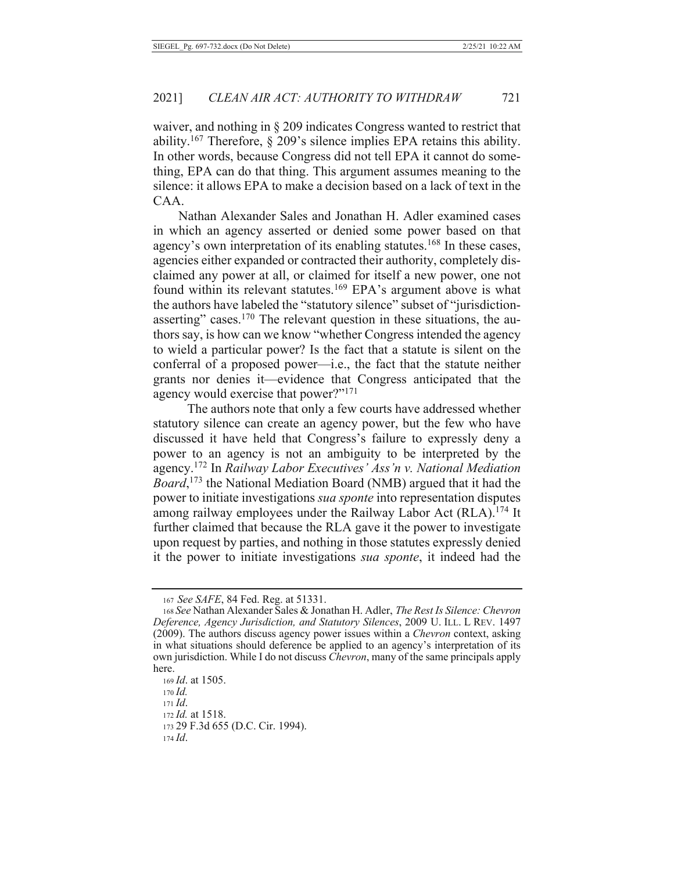waiver, and nothing in § 209 indicates Congress wanted to restrict that ability.<sup>167</sup> Therefore, § 209's silence implies EPA retains this ability. In other words, because Congress did not tell EPA it cannot do something, EPA can do that thing. This argument assumes meaning to the silence: it allows EPA to make a decision based on a lack of text in the CAA.

Nathan Alexander Sales and Jonathan H. Adler examined cases in which an agency asserted or denied some power based on that agency's own interpretation of its enabling statutes.<sup>168</sup> In these cases, agencies either expanded or contracted their authority, completely disclaimed any power at all, or claimed for itself a new power, one not found within its relevant statutes.<sup>169</sup> EPA's argument above is what the authors have labeled the "statutory silence" subset of "jurisdictionasserting" cases.<sup>170</sup> The relevant question in these situations, the authors say, is how can we know "whether Congress intended the agency to wield a particular power? Is the fact that a statute is silent on the conferral of a proposed power—i.e., the fact that the statute neither grants nor denies it—evidence that Congress anticipated that the agency would exercise that power?"<sup>171</sup>

The authors note that only a few courts have addressed whether statutory silence can create an agency power, but the few who have discussed it have held that Congress's failure to expressly deny a power to an agency is not an ambiguity to be interpreted by the agency.<sup>172</sup> In Railway Labor Executives' Ass'n v. National Mediation Board,<sup>173</sup> the National Mediation Board (NMB) argued that it had the power to initiate investigations sua sponte into representation disputes among railway employees under the Railway Labor Act (RLA).<sup>174</sup> It further claimed that because the RLA gave it the power to investigate upon request by parties, and nothing in those statutes expressly denied it the power to initiate investigations *sua sponte*, it indeed had the

169 *Id.* at 1505.

 $170$  *Id.*  $171 \, Id.$ 

172 *Id.* at 1518.

173 29 F.3d 655 (D.C. Cir. 1994).

<sup>167</sup> See SAFE, 84 Fed. Reg. at 51331.

<sup>168</sup> See Nathan Alexander Sales & Jonathan H. Adler, The Rest Is Silence: Chevron Deference, Agency Jurisdiction, and Statutory Silences, 2009 U. ILL. L REV. 1497 (2009). The authors discuss agency power issues within a *Chevron* context, asking in what situations should deference be applied to an agency's interpretation of its own jurisdiction. While I do not discuss *Chevron*, many of the same principals apply here.

 $174 \, Id.$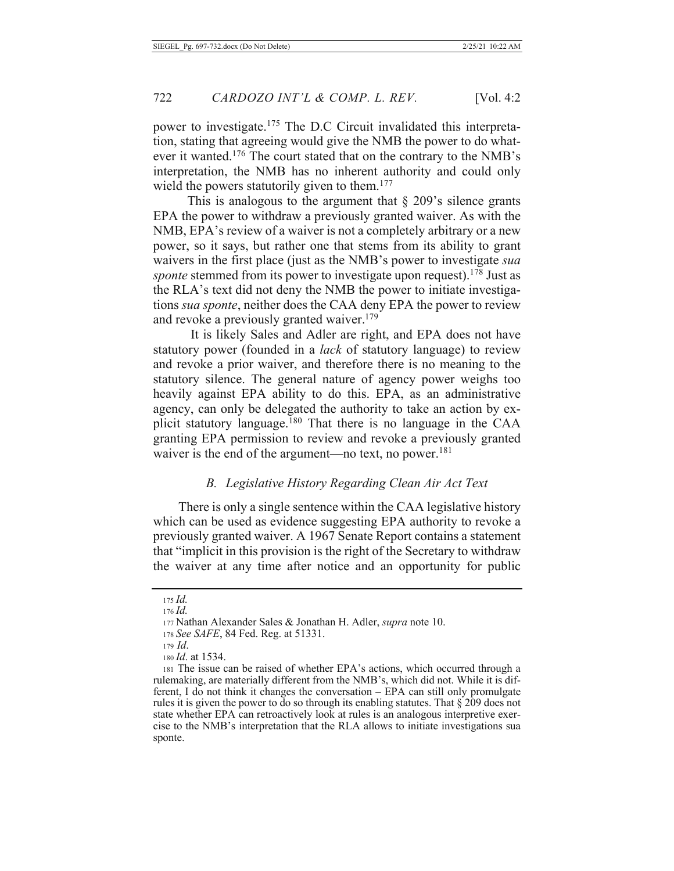power to investigate.<sup>175</sup> The D.C Circuit invalidated this interpretation, stating that agreeing would give the NMB the power to do whatever it wanted.<sup>176</sup> The court stated that on the contrary to the NMB's interpretation, the NMB has no inherent authority and could only wield the powers statutorily given to them.<sup>177</sup>

This is analogous to the argument that  $\S$  209's silence grants EPA the power to withdraw a previously granted waiver. As with the NMB, EPA's review of a waiver is not a completely arbitrary or a new power, so it says, but rather one that stems from its ability to grant waivers in the first place (just as the NMB's power to investigate sua *sponte* stemmed from its power to investigate upon request).<sup>178</sup> Just as the RLA's text did not deny the NMB the power to initiate investigations *sua sponte*, neither does the CAA deny EPA the power to review and revoke a previously granted waiver.<sup>179</sup>

It is likely Sales and Adler are right, and EPA does not have statutory power (founded in a *lack* of statutory language) to review and revoke a prior waiver, and therefore there is no meaning to the statutory silence. The general nature of agency power weighs too heavily against EPA ability to do this. EPA, as an administrative agency, can only be delegated the authority to take an action by explicit statutory language.<sup>180</sup> That there is no language in the CAA granting EPA permission to review and revoke a previously granted waiver is the end of the argument—no text, no power.<sup>181</sup>

#### B. Legislative History Regarding Clean Air Act Text

There is only a single sentence within the CAA legislative history which can be used as evidence suggesting EPA authority to revoke a previously granted waiver. A 1967 Senate Report contains a statement that "implicit in this provision is the right of the Secretary to withdraw the waiver at any time after notice and an opportunity for public

 $175$  *Id.*  $176$  *Id.* 

<sup>177</sup> Nathan Alexander Sales & Jonathan H. Adler, supra note 10.

<sup>178</sup> See SAFE, 84 Fed. Reg. at 51331.

 $179$  *Id.* 

 $180$  *Id.* at 1534.

<sup>181</sup> The issue can be raised of whether EPA's actions, which occurred through a rulemaking, are materially different from the NMB's, which did not. While it is different, I do not think it changes the conversation - EPA can still only promulgate rules it is given the power to do so through its enabling statutes. That  $\S 209$  does not state whether EPA can retroactively look at rules is an analogous interpretive exercise to the NMB's interpretation that the RLA allows to initiate investigations sua sponte.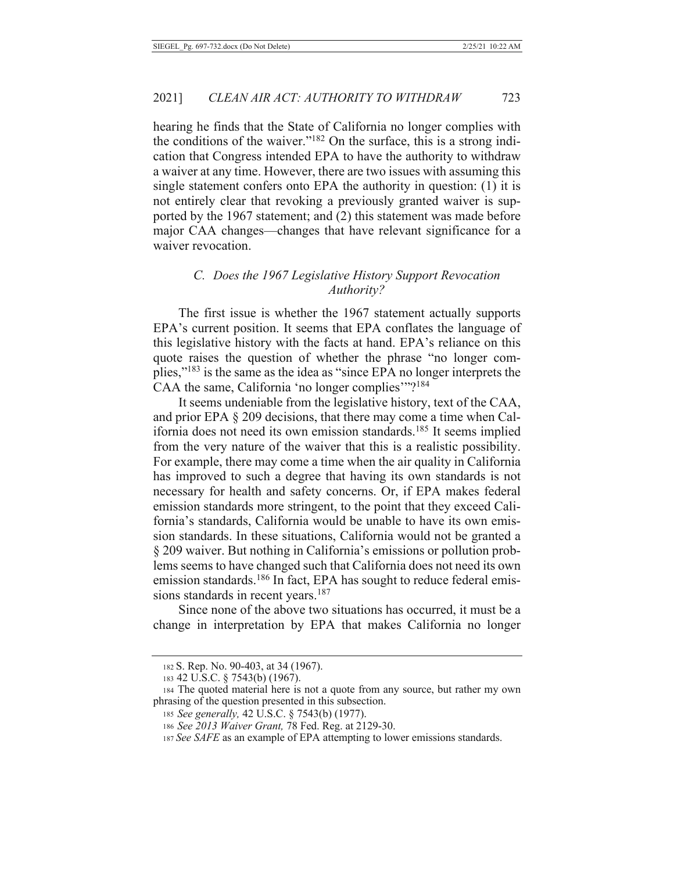hearing he finds that the State of California no longer complies with the conditions of the waiver."<sup>182</sup> On the surface, this is a strong indication that Congress intended EPA to have the authority to withdraw a waiver at any time. However, there are two issues with assuming this single statement confers onto EPA the authority in question: (1) it is not entirely clear that revoking a previously granted waiver is supported by the 1967 statement; and (2) this statement was made before major CAA changes—changes that have relevant significance for a waiver revocation.

#### C. Does the 1967 Legislative History Support Revocation Authority?

The first issue is whether the 1967 statement actually supports EPA's current position. It seems that EPA conflates the language of this legislative history with the facts at hand. EPA's reliance on this quote raises the question of whether the phrase "no longer complies,"<sup>183</sup> is the same as the idea as "since EPA no longer interprets the CAA the same, California 'no longer complies'"?<sup>184</sup>

It seems undeniable from the legislative history, text of the CAA, and prior EPA § 209 decisions, that there may come a time when California does not need its own emission standards.<sup>185</sup> It seems implied from the very nature of the waiver that this is a realistic possibility. For example, there may come a time when the air quality in California has improved to such a degree that having its own standards is not necessary for health and safety concerns. Or, if EPA makes federal emission standards more stringent, to the point that they exceed California's standards. California would be unable to have its own emission standards. In these situations, California would not be granted a § 209 waiver. But nothing in California's emissions or pollution problems seems to have changed such that California does not need its own emission standards.<sup>186</sup> In fact, EPA has sought to reduce federal emissions standards in recent years.<sup>187</sup>

Since none of the above two situations has occurred, it must be a change in interpretation by EPA that makes California no longer

<sup>182</sup> S. Rep. No. 90-403, at 34 (1967).

<sup>183 42</sup> U.S.C. § 7543(b) (1967).

<sup>184</sup> The quoted material here is not a quote from any source, but rather my own phrasing of the question presented in this subsection.

<sup>185</sup> See generally, 42 U.S.C. § 7543(b) (1977).

<sup>186</sup> See 2013 Waiver Grant, 78 Fed. Reg. at 2129-30.

<sup>187</sup> See SAFE as an example of EPA attempting to lower emissions standards.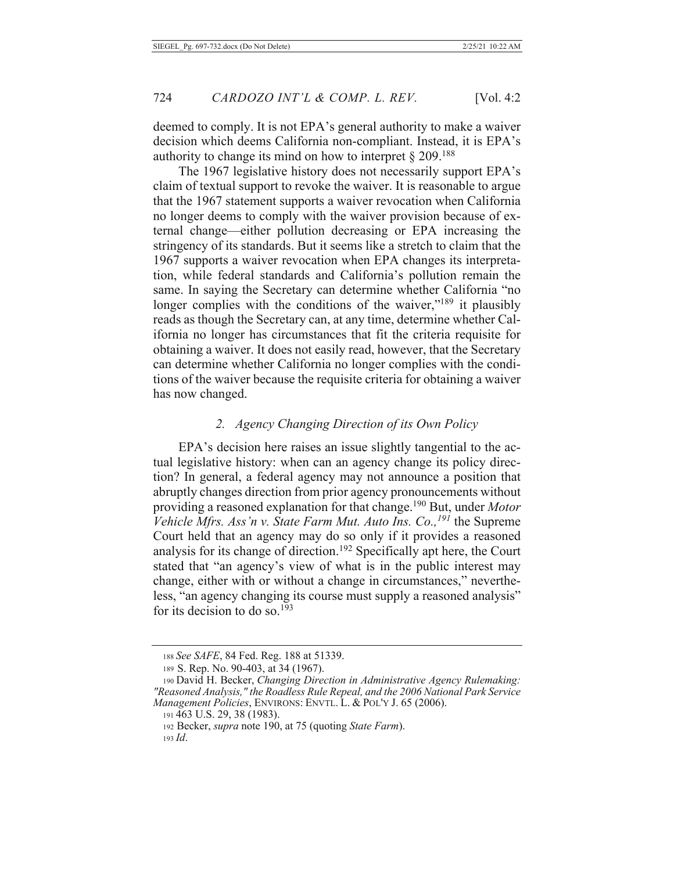deemed to comply. It is not EPA's general authority to make a waiver decision which deems California non-compliant. Instead, it is EPA's authority to change its mind on how to interpret  $\S 209$ <sup>188</sup>

The 1967 legislative history does not necessarily support EPA's claim of textual support to revoke the waiver. It is reasonable to argue that the 1967 statement supports a waiver revocation when California no longer deems to comply with the waiver provision because of external change—either pollution decreasing or EPA increasing the stringency of its standards. But it seems like a stretch to claim that the 1967 supports a waiver revocation when EPA changes its interpretation, while federal standards and California's pollution remain the same. In saying the Secretary can determine whether California "no longer complies with the conditions of the waiver,"<sup>189</sup> it plausibly reads as though the Secretary can, at any time, determine whether California no longer has circumstances that fit the criteria requisite for obtaining a waiver. It does not easily read, however, that the Secretary can determine whether California no longer complies with the conditions of the waiver because the requisite criteria for obtaining a waiver has now changed.

#### 2. Agency Changing Direction of its Own Policy

EPA's decision here raises an issue slightly tangential to the actual legislative history: when can an agency change its policy direction? In general, a federal agency may not announce a position that abruptly changes direction from prior agency pronouncements without providing a reasoned explanation for that change.<sup>190</sup> But, under Motor Vehicle Mfrs. Ass'n v. State Farm Mut. Auto Ins. Co.,  $^{191}$  the Supreme Court held that an agency may do so only if it provides a reasoned analysis for its change of direction.<sup>192</sup> Specifically apt here, the Court stated that "an agency's view of what is in the public interest may change, either with or without a change in circumstances," nevertheless, "an agency changing its course must supply a reasoned analysis" for its decision to do so.<sup>193</sup>

<sup>188</sup> See SAFE, 84 Fed. Reg. 188 at 51339.

<sup>189</sup> S. Rep. No. 90-403, at 34 (1967).

<sup>190</sup> David H. Becker, Changing Direction in Administrative Agency Rulemaking: "Reasoned Analysis," the Roadless Rule Repeal, and the 2006 National Park Service *Management Policies, ENVIRONS: ENVTL. L. & POL'Y J. 65 (2006).* 

<sup>191 463</sup> U.S. 29, 38 (1983).

<sup>192</sup> Becker, *supra* note 190, at 75 (quoting State Farm).

 $193$  *Id.*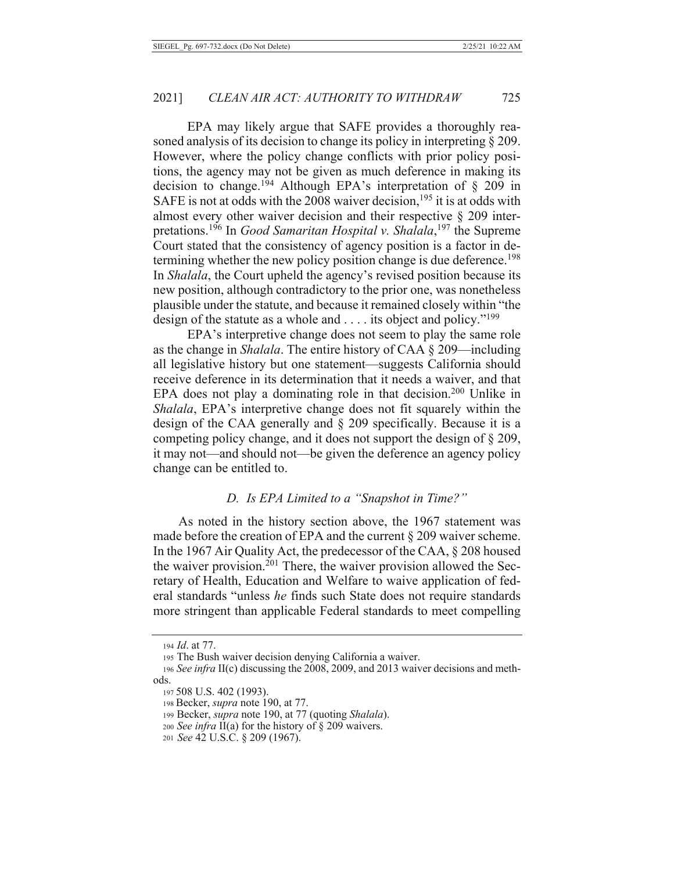EPA may likely argue that SAFE provides a thoroughly reasoned analysis of its decision to change its policy in interpreting  $\S 209$ . However, where the policy change conflicts with prior policy positions, the agency may not be given as much deference in making its decision to change.<sup>194</sup> Although EPA's interpretation of  $\S$  209 in SAFE is not at odds with the 2008 waiver decision,  $195$  it is at odds with almost every other waiver decision and their respective  $\S$  209 interpretations.<sup>196</sup> In *Good Samaritan Hospital v. Shalala*,<sup>197</sup> the Supreme Court stated that the consistency of agency position is a factor in determining whether the new policy position change is due deference.<sup>198</sup> In *Shalala*, the Court upheld the agency's revised position because its new position, although contradictory to the prior one, was nonetheless plausible under the statute, and because it remained closely within "the design of the statute as a whole and  $\dots$  its object and policy."<sup>199</sup>

EPA's interpretive change does not seem to play the same role as the change in *Shalala*. The entire history of CAA § 209—including all legislative history but one statement-suggests California should receive deference in its determination that it needs a waiver, and that EPA does not play a dominating role in that decision.<sup>200</sup> Unlike in *Shalala*, EPA's interpretive change does not fit squarely within the design of the CAA generally and § 209 specifically. Because it is a competing policy change, and it does not support the design of § 209, it may not—and should not—be given the deference an agency policy change can be entitled to.

#### D. Is EPA Limited to a "Snapshot in Time?"

As noted in the history section above, the 1967 statement was made before the creation of EPA and the current  $\S 209$  waiver scheme. In the 1967 Air Quality Act, the predecessor of the CAA, § 208 housed the waiver provision.<sup>201</sup> There, the waiver provision allowed the Secretary of Health, Education and Welfare to waive application of federal standards "unless he finds such State does not require standards" more stringent than applicable Federal standards to meet compelling

<sup>194</sup> Id. at 77.

<sup>195</sup> The Bush waiver decision denying California a waiver.

<sup>196</sup> See infra II(c) discussing the 2008, 2009, and 2013 waiver decisions and methods.

<sup>197 508</sup> U.S. 402 (1993).

<sup>198</sup> Becker, supra note 190, at 77.

<sup>199</sup> Becker, supra note 190, at 77 (quoting Shalala).

<sup>200</sup> See infra II(a) for the history of  $\S$  209 waivers.

<sup>201</sup> See 42 U.S.C. § 209 (1967).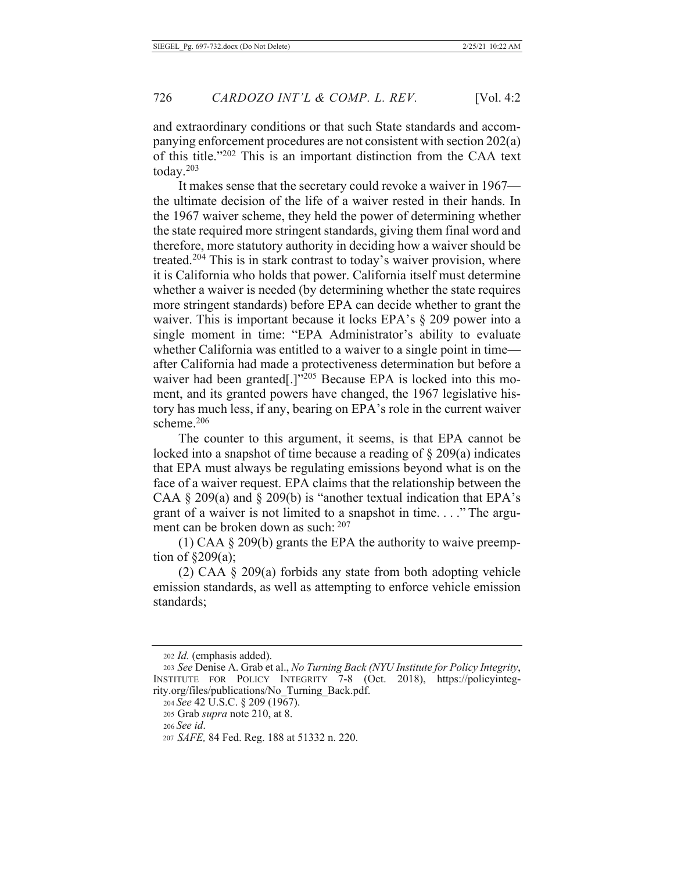and extraordinary conditions or that such State standards and accompanying enforcement procedures are not consistent with section  $202(a)$ of this title."<sup>202</sup> This is an important distinction from the CAA text today. $203$ 

It makes sense that the secretary could revoke a waiver in  $1967$ the ultimate decision of the life of a waiver rested in their hands. In the 1967 waiver scheme, they held the power of determining whether the state required more stringent standards, giving them final word and therefore, more statutory authority in deciding how a waiver should be treated.<sup>204</sup> This is in stark contrast to today's waiver provision, where it is California who holds that power. California itself must determine whether a waiver is needed (by determining whether the state requires more stringent standards) before EPA can decide whether to grant the waiver. This is important because it locks EPA's  $\S$  209 power into a single moment in time: "EPA Administrator's ability to evaluate whether California was entitled to a waiver to a single point in time after California had made a protectiveness determination but before a waiver had been granted[.] $v^{205}$  Because EPA is locked into this moment, and its granted powers have changed, the 1967 legislative history has much less, if any, bearing on EPA's role in the current waiver scheme.<sup>206</sup>

The counter to this argument, it seems, is that EPA cannot be locked into a snapshot of time because a reading of  $\S 209(a)$  indicates that EPA must always be regulating emissions beyond what is on the face of a waiver request. EPA claims that the relationship between the CAA  $\S$  209(a) and  $\S$  209(b) is "another textual indication that EPA's grant of a waiver is not limited to a snapshot in time...." The argument can be broken down as such:  $207$ 

 $(1)$  CAA § 209(b) grants the EPA the authority to waive preemption of  $\S209(a)$ ;

 $(2)$  CAA § 209 $(a)$  forbids any state from both adopting vehicle emission standards, as well as attempting to enforce vehicle emission standards;

<sup>202</sup> *Id.* (emphasis added).

<sup>203</sup> See Denise A. Grab et al., No Turning Back (NYU Institute for Policy Integrity, INSTITUTE FOR POLICY INTEGRITY 7-8 (Oct. 2018), https://policyintegrity.org/files/publications/No\_Turning\_Back.pdf.

<sup>204</sup> See 42 U.S.C. § 209 (1967).

<sup>205</sup> Grab *supra* note 210, at 8.

<sup>206</sup> See id.

<sup>207</sup> SAFE, 84 Fed. Reg. 188 at 51332 n. 220.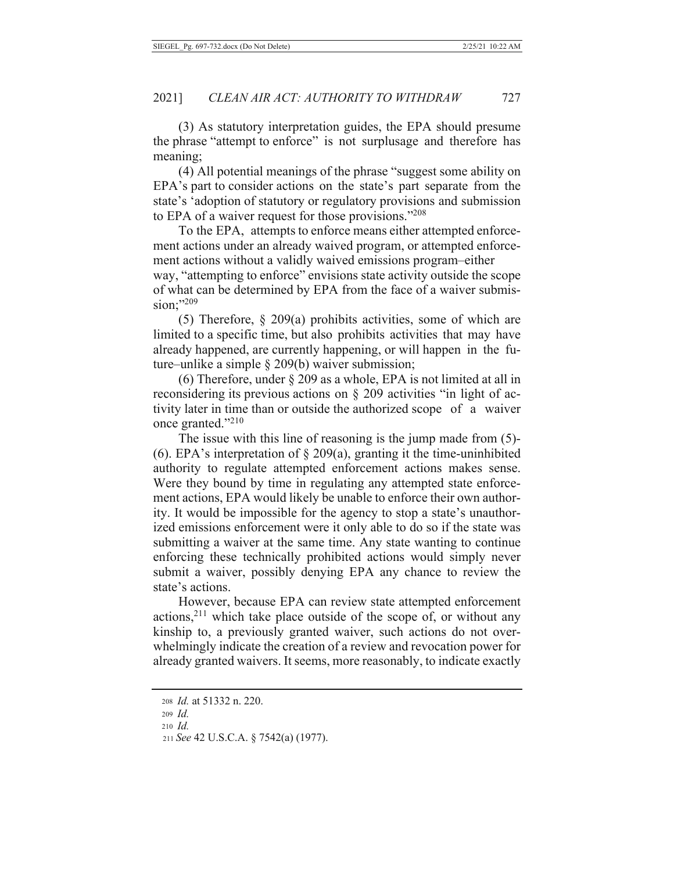(3) As statutory interpretation guides, the EPA should presume the phrase "attempt to enforce" is not surplusage and therefore has meaning;

(4) All potential meanings of the phrase "suggest some ability on EPA's part to consider actions on the state's part separate from the state's 'adoption of statutory or regulatory provisions and submission to EPA of a waiver request for those provisions." $208$ 

To the EPA, attempts to enforce means either attempted enforcement actions under an already waived program, or attempted enforcement actions without a validly waived emissions program-either way, "attempting to enforce" envisions state activity outside the scope of what can be determined by EPA from the face of a waiver submission;"<sup>209</sup>

(5) Therefore,  $\S 209(a)$  prohibits activities, some of which are limited to a specific time, but also prohibits activities that may have already happened, are currently happening, or will happen in the future–unlike a simple  $\S 209(b)$  waiver submission;

(6) Therefore, under  $\S 209$  as a whole, EPA is not limited at all in reconsidering its previous actions on  $\S$  209 activities "in light of activity later in time than or outside the authorized scope of a waiver once granted."210

The issue with this line of reasoning is the jump made from  $(5)$ -(6). EPA's interpretation of  $\S$  209(a), granting it the time-uninhibited authority to regulate attempted enforcement actions makes sense. Were they bound by time in regulating any attempted state enforcement actions, EPA would likely be unable to enforce their own authority. It would be impossible for the agency to stop a state's unauthorized emissions enforcement were it only able to do so if the state was submitting a waiver at the same time. Any state wanting to continue enforcing these technically prohibited actions would simply never submit a waiver, possibly denying EPA any chance to review the state's actions.

However, because EPA can review state attempted enforcement actions,<sup>211</sup> which take place outside of the scope of, or without any kinship to, a previously granted waiver, such actions do not overwhelmingly indicate the creation of a review and revocation power for already granted waivers. It seems, more reasonably, to indicate exactly

<sup>208</sup> *Id.* at 51332 n. 220.

<sup>209</sup> *Id.* 

<sup>210</sup> *Id.* 

<sup>211</sup> See 42 U.S.C.A. § 7542(a) (1977).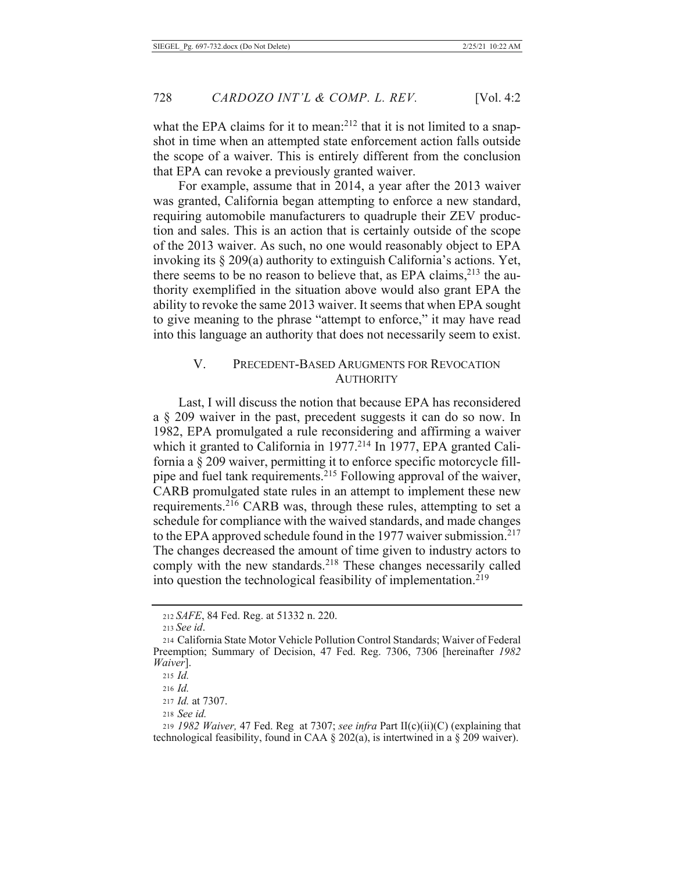what the EPA claims for it to mean:<sup>212</sup> that it is not limited to a snapshot in time when an attempted state enforcement action falls outside the scope of a waiver. This is entirely different from the conclusion that EPA can revoke a previously granted waiver.

For example, assume that in 2014, a year after the 2013 waiver was granted, California began attempting to enforce a new standard, requiring automobile manufacturers to quadruple their ZEV production and sales. This is an action that is certainly outside of the scope of the 2013 waiver. As such, no one would reasonably object to EPA invoking its § 209(a) authority to extinguish California's actions. Yet, there seems to be no reason to believe that, as EPA claims,<sup>213</sup> the authority exemplified in the situation above would also grant EPA the ability to revoke the same 2013 waiver. It seems that when EPA sought to give meaning to the phrase "attempt to enforce," it may have read into this language an authority that does not necessarily seem to exist.

#### V. PRECEDENT-BASED ARUGMENTS FOR REVOCATION **AUTHORITY**

Last, I will discuss the notion that because EPA has reconsidered a § 209 waiver in the past, precedent suggests it can do so now. In 1982, EPA promulgated a rule reconsidering and affirming a waiver which it granted to California in 1977.<sup>214</sup> In 1977, EPA granted California a  $\S$  209 waiver, permitting it to enforce specific motorcycle fillpipe and fuel tank requirements.<sup>215</sup> Following approval of the waiver, CARB promulgated state rules in an attempt to implement these new requirements.<sup>216</sup> CARB was, through these rules, attempting to set a schedule for compliance with the waived standards, and made changes to the EPA approved schedule found in the 1977 waiver submission.<sup>217</sup> The changes decreased the amount of time given to industry actors to comply with the new standards.<sup>218</sup> These changes necessarily called into question the technological feasibility of implementation.<sup>219</sup>

<sup>212</sup> SAFE, 84 Fed. Reg. at 51332 n. 220.

<sup>213</sup> See id.

<sup>214</sup> California State Motor Vehicle Pollution Control Standards; Waiver of Federal Preemption; Summary of Decision, 47 Fed. Reg. 7306, 7306 [hereinafter 1982] Waiver.

 $215$  *Id.* 

 $216$  *Id.* 

<sup>217</sup> *Id.* at 7307.

<sup>218</sup> See id.

<sup>219 1982</sup> Waiver, 47 Fed. Reg at 7307; see infra Part II(c)(ii)(C) (explaining that technological feasibility, found in CAA  $\S 202(a)$ , is intertwined in a  $\S 209$  waiver).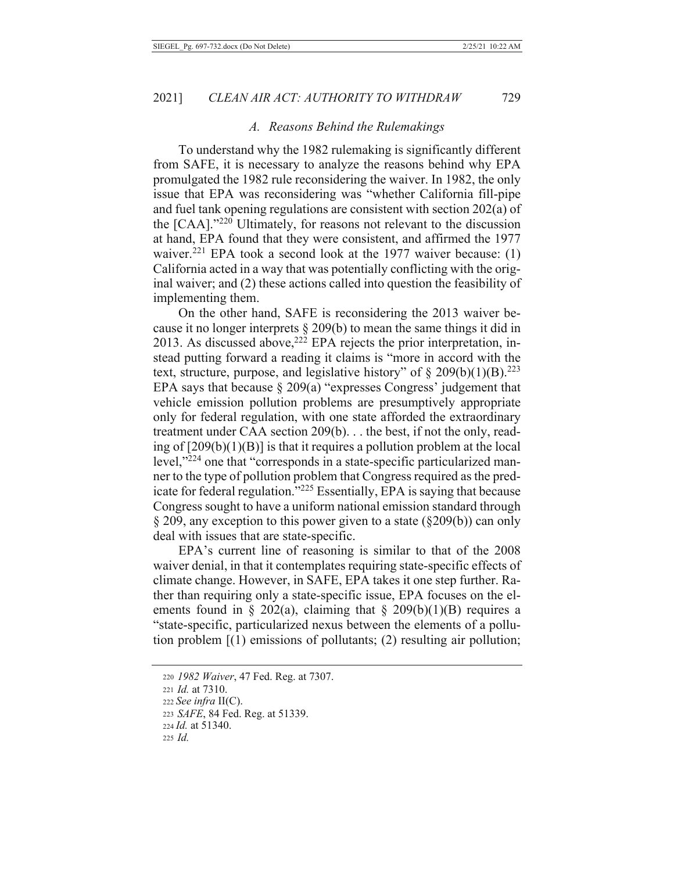#### A. Reasons Behind the Rulemakings

To understand why the 1982 rulemaking is significantly different from SAFE, it is necessary to analyze the reasons behind why EPA promulgated the 1982 rule reconsidering the waiver. In 1982, the only issue that EPA was reconsidering was "whether California fill-pipe and fuel tank opening regulations are consistent with section 202(a) of the  $[CAA]$ ."<sup>220</sup> Ultimately, for reasons not relevant to the discussion at hand, EPA found that they were consistent, and affirmed the 1977 waiver.<sup>221</sup> EPA took a second look at the 1977 waiver because: (1) California acted in a way that was potentially conflicting with the original waiver; and (2) these actions called into question the feasibility of implementing them.

On the other hand, SAFE is reconsidering the 2013 waiver because it no longer interprets  $\S 209(b)$  to mean the same things it did in 2013. As discussed above,<sup>222</sup> EPA rejects the prior interpretation, instead putting forward a reading it claims is "more in accord with the text, structure, purpose, and legislative history" of  $\S 209(b)(1)(B)^{223}$ EPA says that because  $\S 209(a)$  "expresses Congress" judgement that vehicle emission pollution problems are presumptively appropriate only for federal regulation, with one state afforded the extraordinary treatment under CAA section  $209(b)$ ... the best, if not the only, reading of  $[209(b)(1)(B)]$  is that it requires a pollution problem at the local level,"224 one that "corresponds in a state-specific particularized manner to the type of pollution problem that Congress required as the predicate for federal regulation."225 Essentially, EPA is saying that because Congress sought to have a uniform national emission standard through  $\S 209$ , any exception to this power given to a state ( $\S 209(b)$ ) can only deal with issues that are state-specific.

EPA's current line of reasoning is similar to that of the 2008 waiver denial, in that it contemplates requiring state-specific effects of climate change. However, in SAFE, EPA takes it one step further. Rather than requiring only a state-specific issue, EPA focuses on the elements found in § 202(a), claiming that § 209(b)(1)(B) requires a "state-specific, particularized nexus between the elements of a pollution problem  $[(1)$  emissions of pollutants;  $(2)$  resulting air pollution;

<sup>220 1982</sup> Waiver, 47 Fed. Reg. at 7307. 221 Id. at 7310. 222 See infra  $II(C)$ . 223 SAFE, 84 Fed. Reg. at 51339. 224 Id. at 51340.  $225$  *Id.*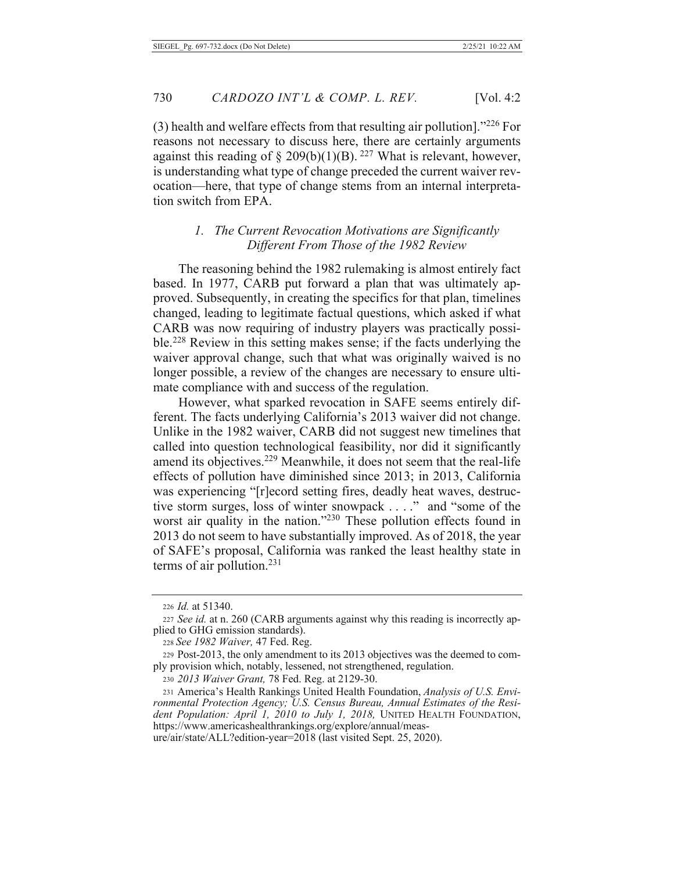$(3)$  health and welfare effects from that resulting air pollution]."226 For reasons not necessary to discuss here, there are certainly arguments against this reading of § 209(b)(1)(B).<sup>227</sup> What is relevant, however, is understanding what type of change preceded the current waiver revocation—here, that type of change stems from an internal interpretation switch from EPA.

### 1. The Current Revocation Motivations are Significantly Different From Those of the 1982 Review

The reasoning behind the 1982 rulemaking is almost entirely fact based. In 1977, CARB put forward a plan that was ultimately approved. Subsequently, in creating the specifics for that plan, timelines changed, leading to legitimate factual questions, which asked if what CARB was now requiring of industry players was practically possible.<sup>228</sup> Review in this setting makes sense; if the facts underlying the waiver approval change, such that what was originally waived is no longer possible, a review of the changes are necessary to ensure ultimate compliance with and success of the regulation.

However, what sparked revocation in SAFE seems entirely different. The facts underlying California's 2013 waiver did not change. Unlike in the 1982 waiver, CARB did not suggest new timelines that called into question technological feasibility, nor did it significantly amend its objectives.<sup>229</sup> Meanwhile, it does not seem that the real-life effects of pollution have diminished since 2013; in 2013, California was experiencing "[r]ecord setting fires, deadly heat waves, destructive storm surges, loss of winter snowpack . . . ." and "some of the worst air quality in the nation."<sup>230</sup> These pollution effects found in 2013 do not seem to have substantially improved. As of 2018, the year of SAFE's proposal, California was ranked the least healthy state in terms of air pollution. $231$ 

ure/air/state/ALL?edition-year=2018 (last visited Sept. 25, 2020).

<sup>226</sup> *Id.* at 51340.

<sup>227</sup> See id. at n. 260 (CARB arguments against why this reading is incorrectly applied to GHG emission standards).

<sup>228</sup> See 1982 Waiver, 47 Fed. Reg.

<sup>229</sup> Post-2013, the only amendment to its 2013 objectives was the deemed to comply provision which, notably, lessened, not strengthened, regulation.

<sup>230 2013</sup> Waiver Grant, 78 Fed. Reg. at 2129-30.

<sup>231</sup> America's Health Rankings United Health Foundation, Analysis of U.S. Environmental Protection Agency; U.S. Census Bureau, Annual Estimates of the Resident Population: April 1, 2010 to July 1, 2018, UNITED HEALTH FOUNDATION, https://www.americashealthrankings.org/explore/annual/meas-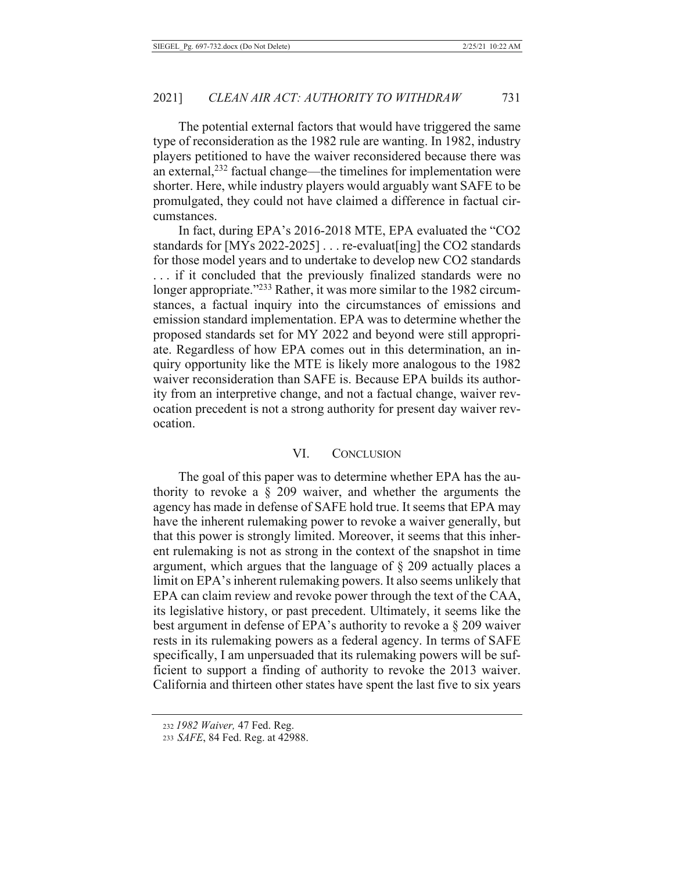The potential external factors that would have triggered the same type of reconsideration as the 1982 rule are wanting. In 1982, industry players petitioned to have the waiver reconsidered because there was an external,<sup>232</sup> factual change—the timelines for implementation were shorter. Here, while industry players would arguably want SAFE to be promulgated, they could not have claimed a difference in factual circumstances.

In fact, during EPA's 2016-2018 MTE, EPA evaluated the "CO2 standards for [MYs 2022-2025]  $\dots$  re-evaluat [ing] the CO2 standards for those model years and to undertake to develop new CO2 standards ... if it concluded that the previously finalized standards were no longer appropriate."<sup>233</sup> Rather, it was more similar to the 1982 circumstances, a factual inquiry into the circumstances of emissions and emission standard implementation. EPA was to determine whether the proposed standards set for MY 2022 and beyond were still appropriate. Regardless of how EPA comes out in this determination, an inquiry opportunity like the MTE is likely more analogous to the 1982 waiver reconsideration than SAFE is. Because EPA builds its authority from an interpretive change, and not a factual change, waiver revocation precedent is not a strong authority for present day waiver revocation.

#### VI. **CONCLUSION**

The goal of this paper was to determine whether EPA has the authority to revoke a  $\S$  209 waiver, and whether the arguments the agency has made in defense of SAFE hold true. It seems that EPA may have the inherent rulemaking power to revoke a waiver generally, but that this power is strongly limited. Moreover, it seems that this inherent rulemaking is not as strong in the context of the snapshot in time argument, which argues that the language of  $\S$  209 actually places a limit on EPA's inherent rulemaking powers. It also seems unlikely that EPA can claim review and revoke power through the text of the CAA, its legislative history, or past precedent. Ultimately, it seems like the best argument in defense of EPA's authority to revoke a  $\S 209$  waiver rests in its rulemaking powers as a federal agency. In terms of SAFE specifically, I am unpersuaded that its rulemaking powers will be sufficient to support a finding of authority to revoke the 2013 waiver. California and thirteen other states have spent the last five to six years

<sup>232 1982</sup> Waiver, 47 Fed. Reg.

<sup>233</sup> SAFE, 84 Fed. Reg. at 42988.